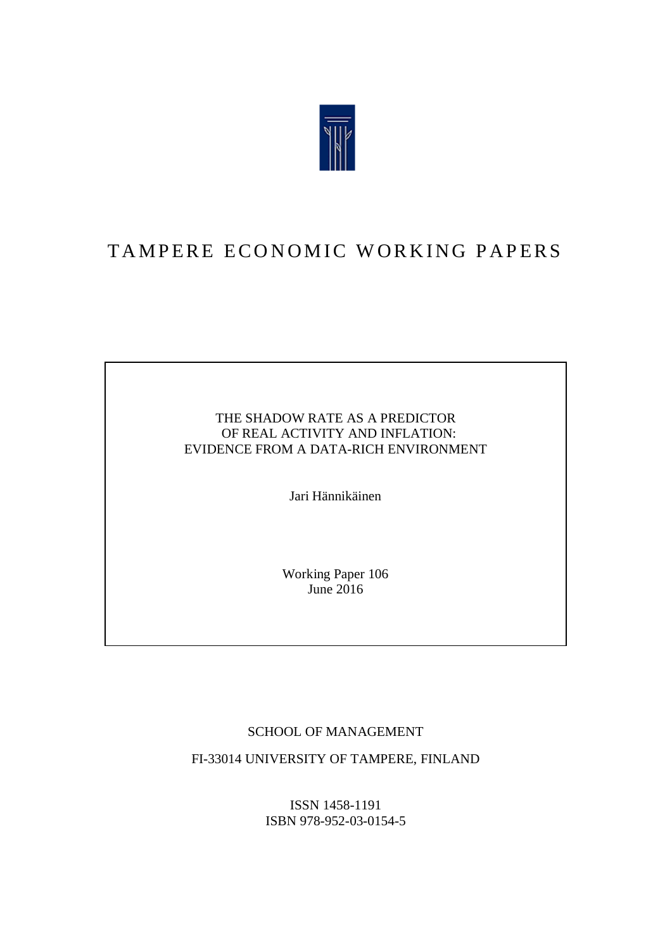

## TAMPERE ECONOMIC WORKING PAPERS

#### THE SHADOW RATE AS A PREDICTOR OF REAL ACTIVITY AND INFLATION: EVIDENCE FROM A DATA-RICH ENVIRONMENT

Jari Hännikäinen

Working Paper 106 June  $2016$ 

#### SCHOOL OF MANAGEMENT

FI-33014 UNIVERSITY OF TAMPERE, FINLAND

ISSN 1458-1191 ISBN 978-952-03-0154-5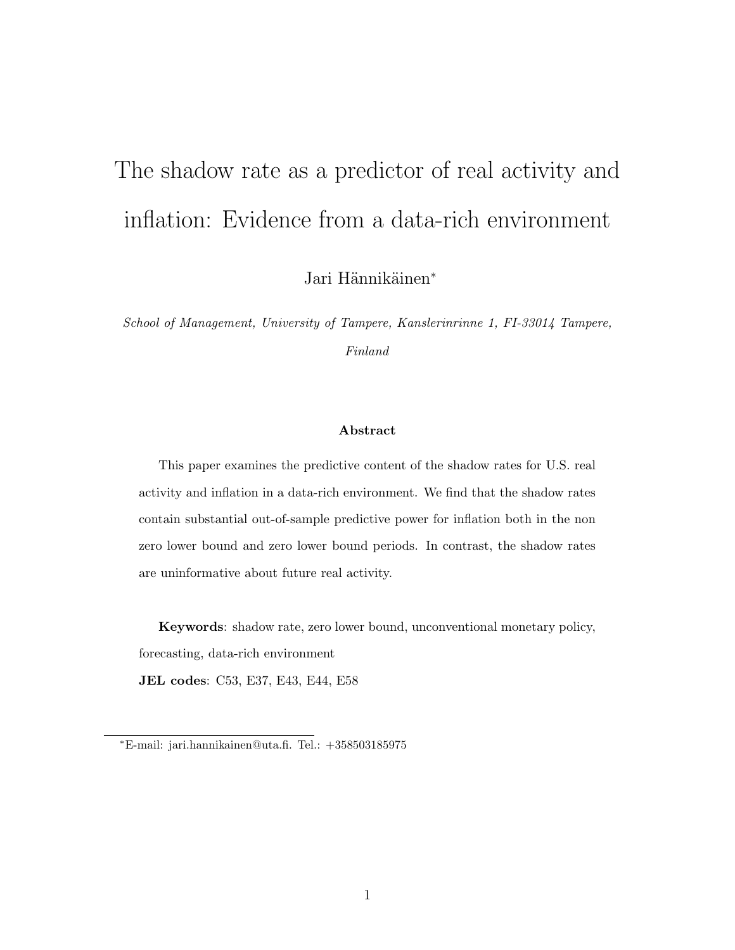# The shadow rate as a predictor of real activity and inflation: Evidence from a data-rich environment

Jari Hännikäinen<sup>∗</sup>

School of Management, University of Tampere, Kanslerinrinne 1, FI-33014 Tampere, Finland

#### Abstract

This paper examines the predictive content of the shadow rates for U.S. real activity and inflation in a data-rich environment. We find that the shadow rates contain substantial out-of-sample predictive power for inflation both in the non zero lower bound and zero lower bound periods. In contrast, the shadow rates are uninformative about future real activity.

Keywords: shadow rate, zero lower bound, unconventional monetary policy, forecasting, data-rich environment

JEL codes: C53, E37, E43, E44, E58

<sup>∗</sup>E-mail: jari.hannikainen@uta.fi. Tel.: +358503185975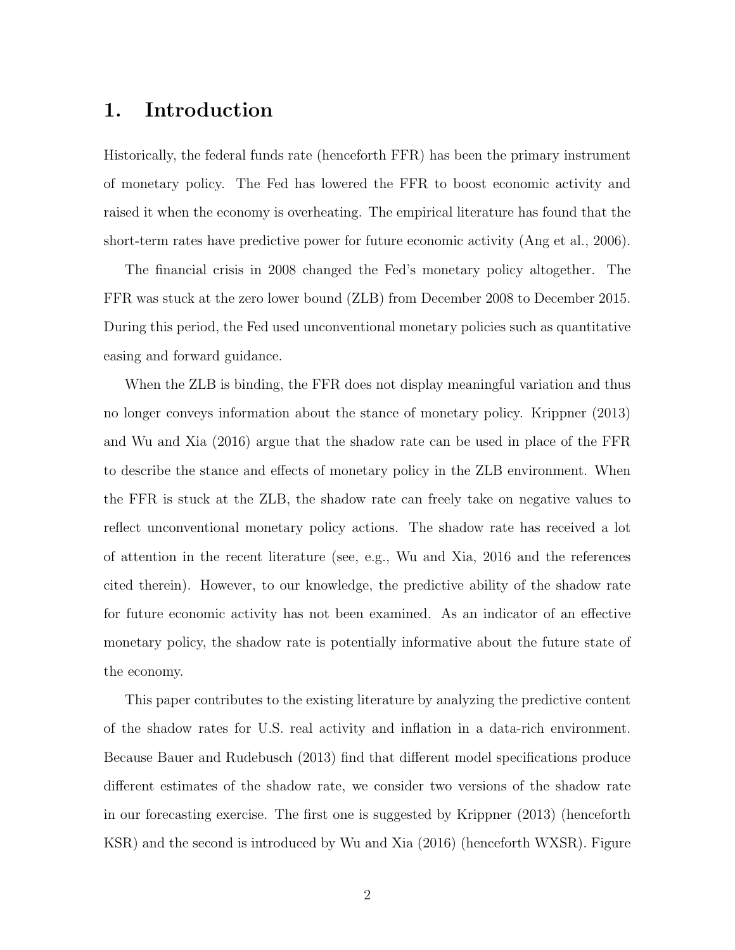#### 1. Introduction

Historically, the federal funds rate (henceforth FFR) has been the primary instrument of monetary policy. The Fed has lowered the FFR to boost economic activity and raised it when the economy is overheating. The empirical literature has found that the short-term rates have predictive power for future economic activity (Ang et al., 2006).

The financial crisis in 2008 changed the Fed's monetary policy altogether. The FFR was stuck at the zero lower bound (ZLB) from December 2008 to December 2015. During this period, the Fed used unconventional monetary policies such as quantitative easing and forward guidance.

When the ZLB is binding, the FFR does not display meaningful variation and thus no longer conveys information about the stance of monetary policy. Krippner (2013) and Wu and Xia (2016) argue that the shadow rate can be used in place of the FFR to describe the stance and effects of monetary policy in the ZLB environment. When the FFR is stuck at the ZLB, the shadow rate can freely take on negative values to reflect unconventional monetary policy actions. The shadow rate has received a lot of attention in the recent literature (see, e.g., Wu and Xia, 2016 and the references cited therein). However, to our knowledge, the predictive ability of the shadow rate for future economic activity has not been examined. As an indicator of an effective monetary policy, the shadow rate is potentially informative about the future state of the economy.

This paper contributes to the existing literature by analyzing the predictive content of the shadow rates for U.S. real activity and inflation in a data-rich environment. Because Bauer and Rudebusch (2013) find that different model specifications produce different estimates of the shadow rate, we consider two versions of the shadow rate in our forecasting exercise. The first one is suggested by Krippner (2013) (henceforth KSR) and the second is introduced by Wu and Xia (2016) (henceforth WXSR). Figure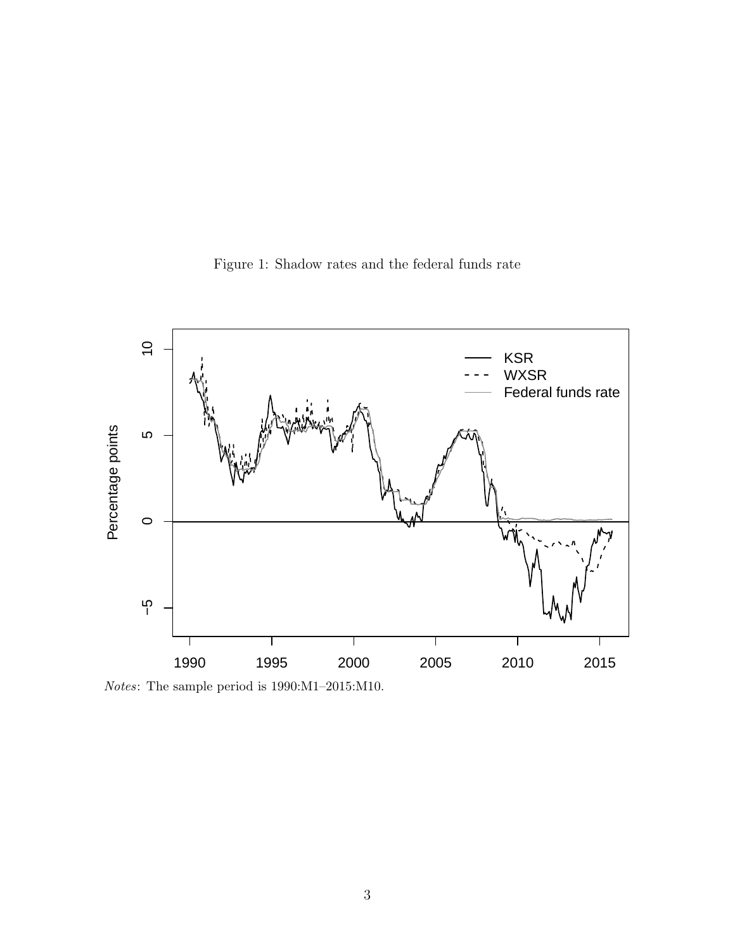



Notes: The sample period is 1990:M1–2015:M10.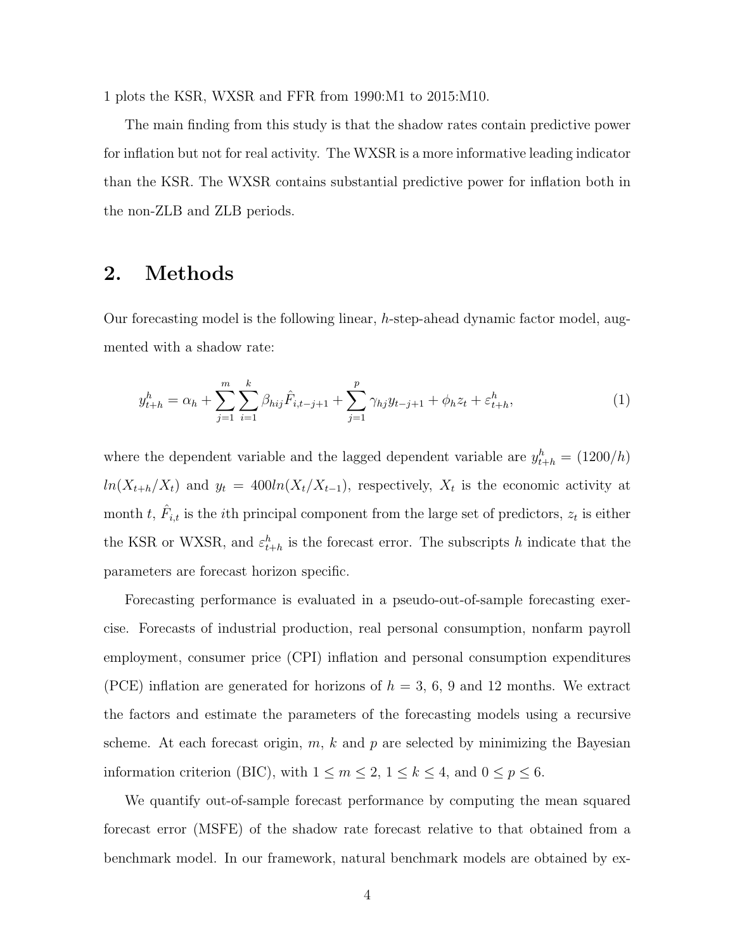1 plots the KSR, WXSR and FFR from 1990:M1 to 2015:M10.

The main finding from this study is that the shadow rates contain predictive power for inflation but not for real activity. The WXSR is a more informative leading indicator than the KSR. The WXSR contains substantial predictive power for inflation both in the non-ZLB and ZLB periods.

#### 2. Methods

Our forecasting model is the following linear,  $h$ -step-ahead dynamic factor model, augmented with a shadow rate:

$$
y_{t+h}^h = \alpha_h + \sum_{j=1}^m \sum_{i=1}^k \beta_{hij} \hat{F}_{i,t-j+1} + \sum_{j=1}^p \gamma_{hj} y_{t-j+1} + \phi_h z_t + \varepsilon_{t+h}^h,
$$
\n(1)

where the dependent variable and the lagged dependent variable are  $y_{t+h}^h = (1200/h)$  $ln(X_{t+h}/X_t)$  and  $y_t = 400ln(X_t/X_{t-1})$ , respectively,  $X_t$  is the economic activity at month t,  $\hat{F}_{i,t}$  is the *i*th principal component from the large set of predictors,  $z_t$  is either the KSR or WXSR, and  $\varepsilon_{t+h}^h$  is the forecast error. The subscripts h indicate that the parameters are forecast horizon specific.

Forecasting performance is evaluated in a pseudo-out-of-sample forecasting exercise. Forecasts of industrial production, real personal consumption, nonfarm payroll employment, consumer price (CPI) inflation and personal consumption expenditures (PCE) inflation are generated for horizons of  $h = 3, 6, 9$  and 12 months. We extract the factors and estimate the parameters of the forecasting models using a recursive scheme. At each forecast origin,  $m, k$  and  $p$  are selected by minimizing the Bayesian information criterion (BIC), with  $1 \le m \le 2$ ,  $1 \le k \le 4$ , and  $0 \le p \le 6$ .

We quantify out-of-sample forecast performance by computing the mean squared forecast error (MSFE) of the shadow rate forecast relative to that obtained from a benchmark model. In our framework, natural benchmark models are obtained by ex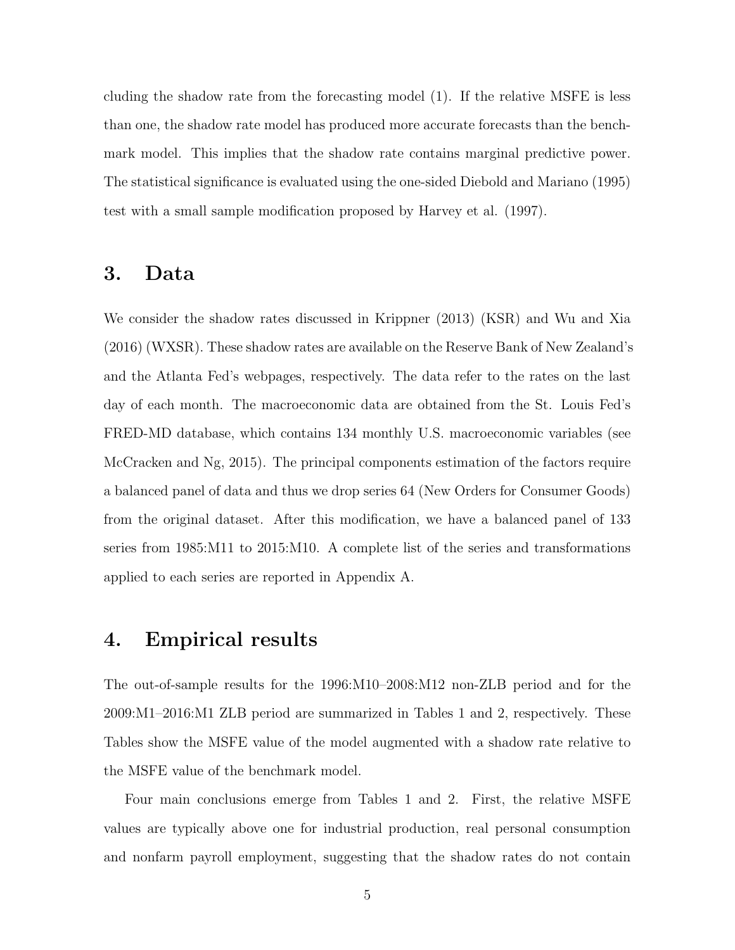cluding the shadow rate from the forecasting model (1). If the relative MSFE is less than one, the shadow rate model has produced more accurate forecasts than the benchmark model. This implies that the shadow rate contains marginal predictive power. The statistical significance is evaluated using the one-sided Diebold and Mariano (1995) test with a small sample modification proposed by Harvey et al. (1997).

#### 3. Data

We consider the shadow rates discussed in Krippner (2013) (KSR) and Wu and Xia (2016) (WXSR). These shadow rates are available on the Reserve Bank of New Zealand's and the Atlanta Fed's webpages, respectively. The data refer to the rates on the last day of each month. The macroeconomic data are obtained from the St. Louis Fed's FRED-MD database, which contains 134 monthly U.S. macroeconomic variables (see McCracken and Ng, 2015). The principal components estimation of the factors require a balanced panel of data and thus we drop series 64 (New Orders for Consumer Goods) from the original dataset. After this modification, we have a balanced panel of 133 series from 1985:M11 to 2015:M10. A complete list of the series and transformations applied to each series are reported in Appendix A.

#### 4. Empirical results

The out-of-sample results for the 1996:M10–2008:M12 non-ZLB period and for the 2009:M1–2016:M1 ZLB period are summarized in Tables 1 and 2, respectively. These Tables show the MSFE value of the model augmented with a shadow rate relative to the MSFE value of the benchmark model.

Four main conclusions emerge from Tables 1 and 2. First, the relative MSFE values are typically above one for industrial production, real personal consumption and nonfarm payroll employment, suggesting that the shadow rates do not contain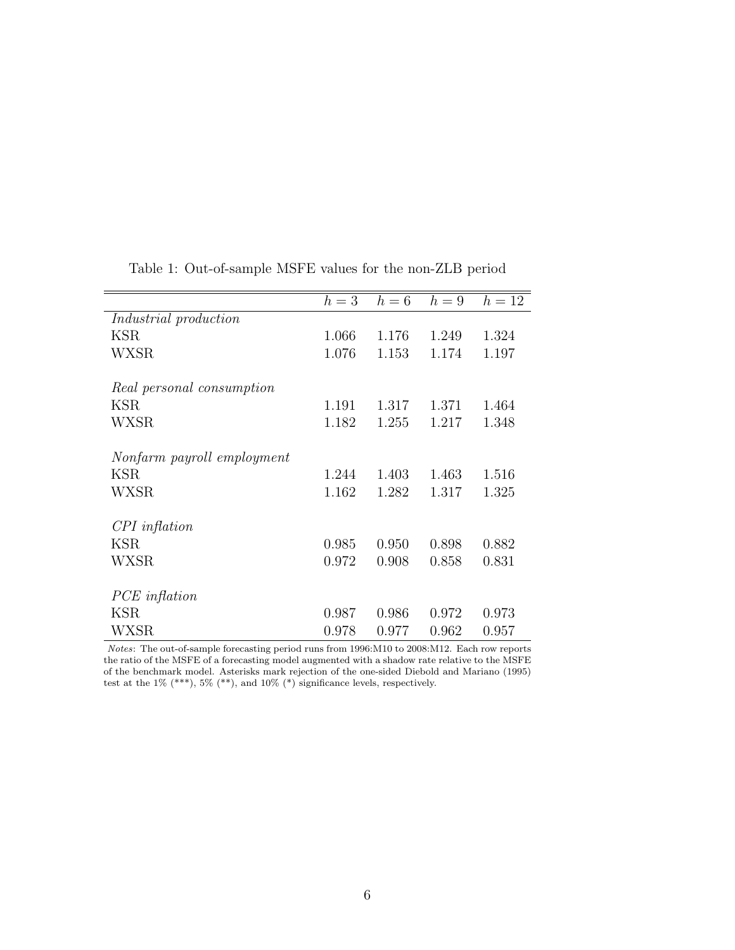|                              | $h=3$ | $h=6$ | $h=9$ | $h=12$ |
|------------------------------|-------|-------|-------|--------|
| <i>Industrial</i> production |       |       |       |        |
| KSR.                         | 1.066 | 1.176 | 1.249 | 1.324  |
| WXSR                         | 1.076 | 1.153 | 1.174 | 1.197  |
| Real personal consumption    |       |       |       |        |
| KSR.                         | 1.191 | 1.317 | 1.371 | 1.464  |
|                              |       |       |       |        |
| WXSR                         | 1.182 | 1.255 | 1.217 | 1.348  |
| Nonfarm payroll employment   |       |       |       |        |
|                              |       |       |       |        |
| KSR                          | 1.244 | 1.403 | 1.463 | 1.516  |
| WXSR                         | 1.162 | 1.282 | 1.317 | 1.325  |
| $CPI$ inflation              |       |       |       |        |
|                              |       |       |       |        |
| <b>KSR</b>                   | 0.985 | 0.950 | 0.898 | 0.882  |
| WXSR                         | 0.972 | 0.908 | 0.858 | 0.831  |
|                              |       |       |       |        |
| PCE inflation                |       |       |       |        |
| KSR                          | 0.987 | 0.986 | 0.972 | 0.973  |
| WXSR                         | 0.978 | 0.977 | 0.962 | 0.957  |

Table 1: Out-of-sample MSFE values for the non-ZLB period

Notes: The out-of-sample forecasting period runs from 1996:M10 to 2008:M12. Each row reports the ratio of the MSFE of a forecasting model augmented with a shadow rate relative to the MSFE of the benchmark model. Asterisks mark rejection of the one-sided Diebold and Mariano (1995) test at the  $1\%$  (\*\*\*),  $5\%$  (\*\*), and  $10\%$  (\*) significance levels, respectively.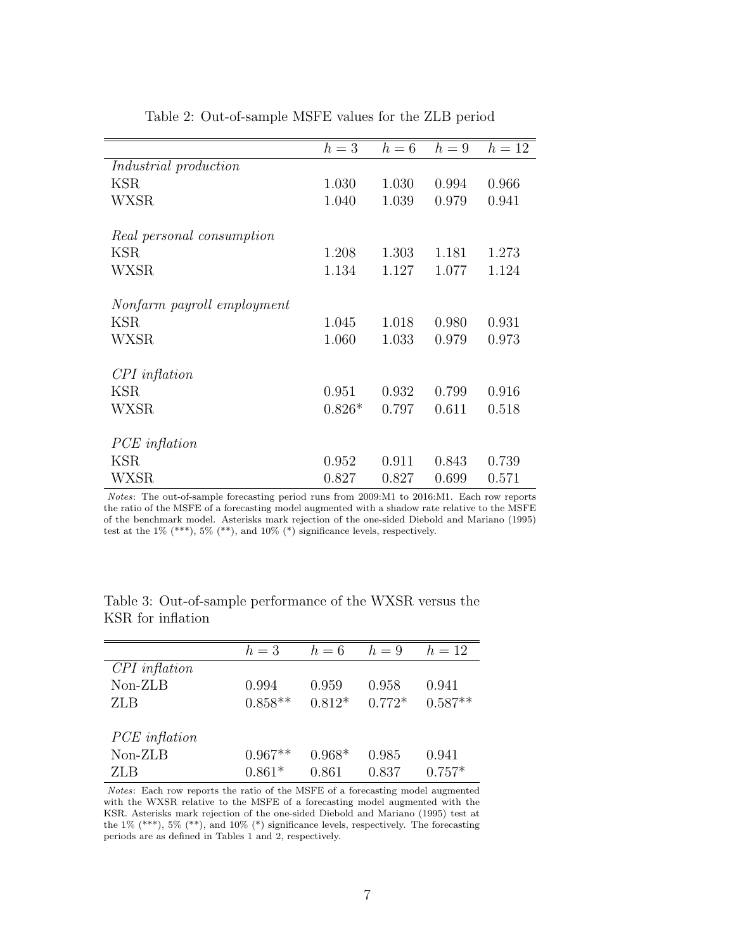|                              | $h=3$    | $h=6$ | $h=9$ | $h=12$ |
|------------------------------|----------|-------|-------|--------|
| <i>Industrial</i> production |          |       |       |        |
| KSR                          | 1.030    | 1.030 | 0.994 | 0.966  |
| WXSR                         | 1.040    | 1.039 | 0.979 | 0.941  |
| Real personal consumption    |          |       |       |        |
| KSR.                         | 1.208    | 1.303 | 1.181 | 1.273  |
| WXSR                         | 1.134    | 1.127 | 1.077 | 1.124  |
| Nonfarm payroll employment   |          |       |       |        |
|                              |          |       |       |        |
| KSR                          | 1.045    | 1.018 | 0.980 | 0.931  |
| <b>WXSR</b>                  | 1.060    | 1.033 | 0.979 | 0.973  |
| $CPI$ inflation              |          |       |       |        |
| KSR.                         | 0.951    | 0.932 | 0.799 | 0.916  |
| WXSR                         | $0.826*$ | 0.797 | 0.611 | 0.518  |
| PCE inflation                |          |       |       |        |
| KSR                          |          | 0.911 |       |        |
|                              | 0.952    |       | 0.843 | 0.739  |
| WXSR                         | 0.827    | 0.827 | 0.699 | 0.571  |

Table 2: Out-of-sample MSFE values for the ZLB period

Notes: The out-of-sample forecasting period runs from 2009:M1 to 2016:M1. Each row reports the ratio of the MSFE of a forecasting model augmented with a shadow rate relative to the MSFE of the benchmark model. Asterisks mark rejection of the one-sided Diebold and Mariano (1995) test at the  $1\%$  (\*\*\*),  $5\%$  (\*\*), and  $10\%$  (\*) significance levels, respectively.

|                 | $h=3$     | $h=6$    | $h=9$    | $h = 12$  |
|-----------------|-----------|----------|----------|-----------|
| $CPI$ inflation |           |          |          |           |
| Non-ZLB         | 0.994     | 0.959    | 0.958    | 0.941     |
| <b>ZLB</b>      | $0.858**$ | $0.812*$ | $0.772*$ | $0.587**$ |
|                 |           |          |          |           |
| $PCE$ inflation |           |          |          |           |
| Non-ZLB         | $0.967**$ | $0.968*$ | 0.985    | 0.941     |
| ZLB             | $0.861*$  | 0.861    | 0.837    | $0.757*$  |

Table 3: Out-of-sample performance of the WXSR versus the KSR for inflation

Notes: Each row reports the ratio of the MSFE of a forecasting model augmented with the WXSR relative to the MSFE of a forecasting model augmented with the KSR. Asterisks mark rejection of the one-sided Diebold and Mariano (1995) test at the 1% (\*\*\*), 5% (\*\*), and 10% (\*) significance levels, respectively. The forecasting periods are as defined in Tables 1 and 2, respectively.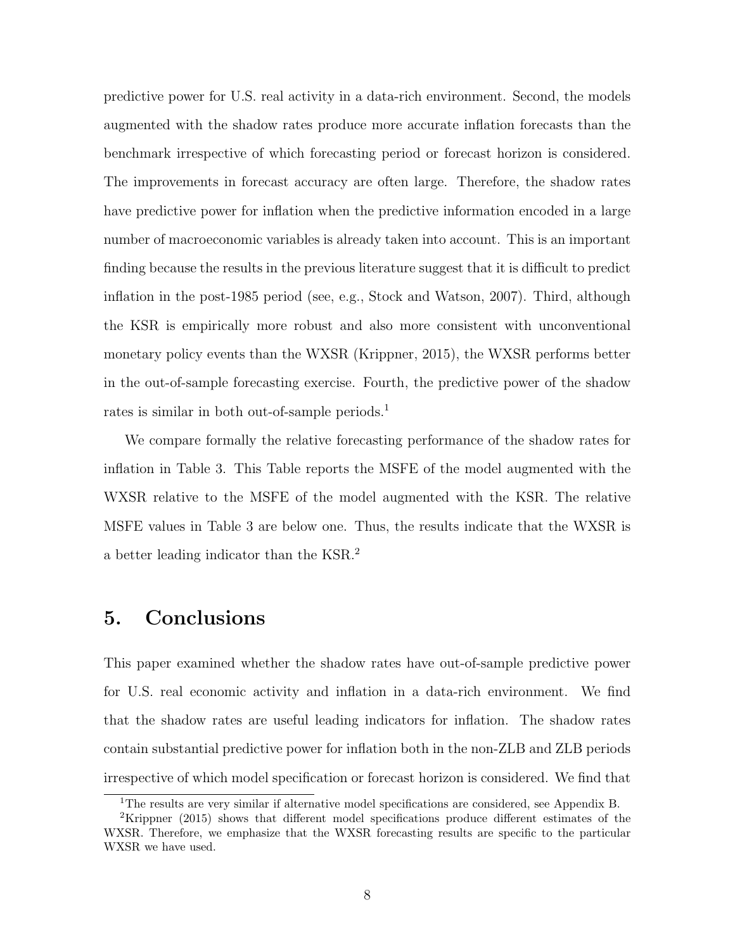predictive power for U.S. real activity in a data-rich environment. Second, the models augmented with the shadow rates produce more accurate inflation forecasts than the benchmark irrespective of which forecasting period or forecast horizon is considered. The improvements in forecast accuracy are often large. Therefore, the shadow rates have predictive power for inflation when the predictive information encoded in a large number of macroeconomic variables is already taken into account. This is an important finding because the results in the previous literature suggest that it is difficult to predict inflation in the post-1985 period (see, e.g., Stock and Watson, 2007). Third, although the KSR is empirically more robust and also more consistent with unconventional monetary policy events than the WXSR (Krippner, 2015), the WXSR performs better in the out-of-sample forecasting exercise. Fourth, the predictive power of the shadow rates is similar in both out-of-sample periods.<sup>[1](#page-8-0)</sup>

We compare formally the relative forecasting performance of the shadow rates for inflation in Table 3. This Table reports the MSFE of the model augmented with the WXSR relative to the MSFE of the model augmented with the KSR. The relative MSFE values in Table 3 are below one. Thus, the results indicate that the WXSR is a better leading indicator than the KSR.[2](#page-8-1)

#### 5. Conclusions

This paper examined whether the shadow rates have out-of-sample predictive power for U.S. real economic activity and inflation in a data-rich environment. We find that the shadow rates are useful leading indicators for inflation. The shadow rates contain substantial predictive power for inflation both in the non-ZLB and ZLB periods irrespective of which model specification or forecast horizon is considered. We find that

<span id="page-8-1"></span><span id="page-8-0"></span><sup>1</sup>The results are very similar if alternative model specifications are considered, see Appendix B.

<sup>2</sup>Krippner (2015) shows that different model specifications produce different estimates of the WXSR. Therefore, we emphasize that the WXSR forecasting results are specific to the particular WXSR we have used.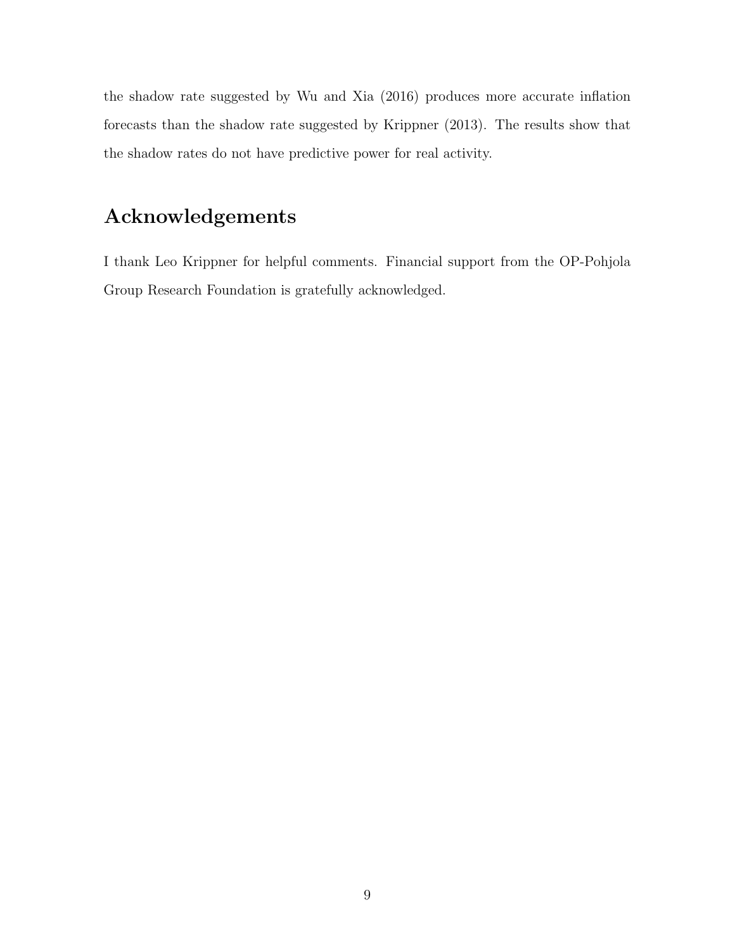the shadow rate suggested by Wu and Xia (2016) produces more accurate inflation forecasts than the shadow rate suggested by Krippner (2013). The results show that the shadow rates do not have predictive power for real activity.

### Acknowledgements

I thank Leo Krippner for helpful comments. Financial support from the OP-Pohjola Group Research Foundation is gratefully acknowledged.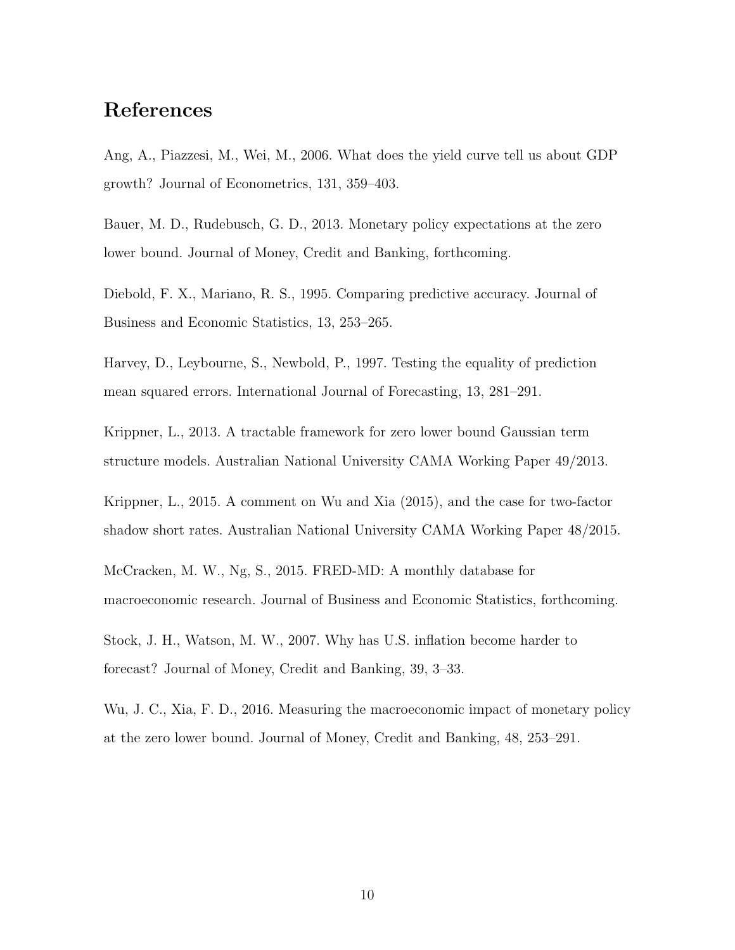#### References

Ang, A., Piazzesi, M., Wei, M., 2006. What does the yield curve tell us about GDP growth? Journal of Econometrics, 131, 359–403.

Bauer, M. D., Rudebusch, G. D., 2013. Monetary policy expectations at the zero lower bound. Journal of Money, Credit and Banking, forthcoming.

Diebold, F. X., Mariano, R. S., 1995. Comparing predictive accuracy. Journal of Business and Economic Statistics, 13, 253–265.

Harvey, D., Leybourne, S., Newbold, P., 1997. Testing the equality of prediction mean squared errors. International Journal of Forecasting, 13, 281–291.

Krippner, L., 2013. A tractable framework for zero lower bound Gaussian term structure models. Australian National University CAMA Working Paper 49/2013.

Krippner, L., 2015. A comment on Wu and Xia (2015), and the case for two-factor shadow short rates. Australian National University CAMA Working Paper 48/2015.

McCracken, M. W., Ng, S., 2015. FRED-MD: A monthly database for macroeconomic research. Journal of Business and Economic Statistics, forthcoming.

Stock, J. H., Watson, M. W., 2007. Why has U.S. inflation become harder to forecast? Journal of Money, Credit and Banking, 39, 3–33.

Wu, J. C., Xia, F. D., 2016. Measuring the macroeconomic impact of monetary policy at the zero lower bound. Journal of Money, Credit and Banking, 48, 253–291.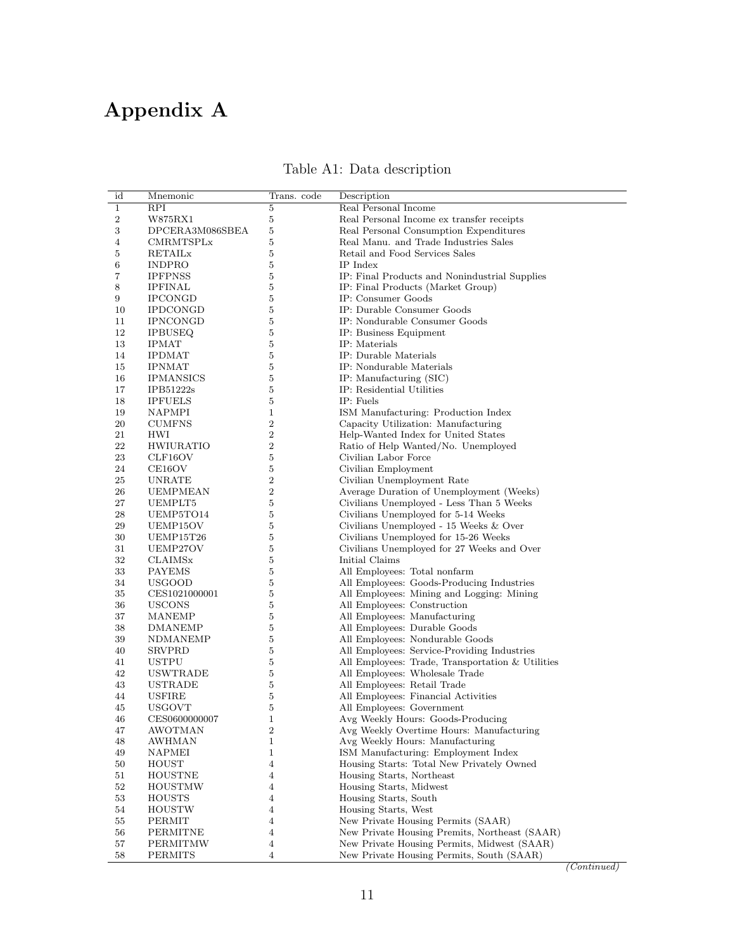## Appendix A

| Table A1: Data description |  |
|----------------------------|--|
|----------------------------|--|

| Real Personal Income<br><b>RPI</b><br>5<br>1<br>Real Personal Income ex transfer receipts<br>2<br>W875RX1<br>5<br>3<br>5<br>Real Personal Consumption Expenditures<br>DPCERA3M086SBEA<br>Real Manu. and Trade Industries Sales<br>CMRMTSPLx<br>5<br>4<br>$\bf 5$<br>Retail and Food Services Sales<br>5<br>RETAILx<br><b>INDPRO</b><br>5<br>IP Index<br>6<br>$\sqrt{5}$<br>7<br>IP: Final Products and Nonindustrial Supplies<br><b>IPFPNSS</b><br>5<br>IP: Final Products (Market Group)<br>8<br><b>IPFINAL</b><br>9<br>5<br>IP: Consumer Goods<br><b>IPCONGD</b><br>$\bf 5$<br><b>IPDCONGD</b><br>IP: Durable Consumer Goods<br>10<br>IP: Nondurable Consumer Goods<br>5<br>11<br><b>IPNCONGD</b><br>$\bf 5$<br>12<br>IP: Business Equipment<br><b>IPBUSEQ</b><br>13<br>5<br>IP: Materials<br><b>IPMAT</b><br>$\bf 5$<br>14<br>IP: Durable Materials<br><b>IPDMAT</b><br>5<br>IP: Nondurable Materials<br>15<br><b>IPNMAT</b><br>5<br>IP: Manufacturing (SIC)<br>16<br><b>IPMANSICS</b><br>$\bf 5$<br>17<br>IP: Residential Utilities<br>IPB51222s<br>18<br>5<br>IP: Fuels<br><b>IPFUELS</b><br>19<br>NAPMPI<br>$\mathbf{1}$<br>ISM Manufacturing: Production Index<br>$\overline{2}$<br>20<br>Capacity Utilization: Manufacturing<br><b>CUMFNS</b><br>$\overline{2}$<br>21<br>Help-Wanted Index for United States<br>HWI<br>$\overline{2}$<br>22<br>Ratio of Help Wanted/No. Unemployed<br>HWIURATIO<br>$\bf 23$<br>Civilian Labor Force<br>5<br>CLF16OV<br>$\bf 5$<br>24<br>Civilian Employment<br>CE16OV<br>25<br>2<br>Civilian Unemployment Rate<br>UNRATE<br>$\overline{2}$<br>Average Duration of Unemployment (Weeks)<br>26<br>UEMPMEAN<br>$\bf 5$<br>27<br>Civilians Unemployed - Less Than 5 Weeks<br>UEMPLT5<br>28<br>5<br>Civilians Unemployed for 5-14 Weeks<br>UEMP5TO14<br>29<br>5<br>Civilians Unemployed - 15 Weeks & Over<br>UEMP15OV<br>30<br>5<br>Civilians Unemployed for 15-26 Weeks<br>UEMP15T26<br>$\overline{5}$<br>Civilians Unemployed for 27 Weeks and Over<br>31<br>UEMP27OV<br>Initial Claims<br>32<br>CLAIMSx<br>5<br>5<br>33<br>All Employees: Total nonfarm<br>PAYEMS<br>34<br>5<br>All Employees: Goods-Producing Industries<br>USGOOD<br>35<br>5<br>All Employees: Mining and Logging: Mining<br>CES1021000001<br>$\bf 5$<br>36<br>All Employees: Construction<br><b>USCONS</b><br>5<br>All Employees: Manufacturing<br>37<br>MANEMP<br>$\bf 5$<br>38<br>All Employees: Durable Goods<br>DMANEMP<br>39<br>5<br>All Employees: Nondurable Goods<br>NDMANEMP<br>$\sqrt{5}$<br>All Employees: Service-Providing Industries<br>40<br>SRVPRD<br>5<br>All Employees: Trade, Transportation & Utilities<br>41<br>USTPU<br>42<br>5<br>All Employees: Wholesale Trade<br>USWTRADE<br>$\bf 5$<br>43<br>All Employees: Retail Trade<br>USTRADE<br><b>USFIRE</b><br>5<br>All Employees: Financial Activities<br>44<br>45<br>5<br>All Employees: Government<br><b>USGOVT</b><br>$\mathbf{1}$<br>Avg Weekly Hours: Goods-Producing<br>46<br>CES0600000007<br>47<br>AWOTMAN<br>2<br>Avg Weekly Overtime Hours: Manufacturing<br>48<br>AWHMAN<br>$\mathbf{1}$<br>Avg Weekly Hours: Manufacturing<br>NAPMEI<br>$\mathbf{1}$<br>ISM Manufacturing: Employment Index<br>49<br>50<br><b>HOUST</b><br>4<br>Housing Starts: Total New Privately Owned<br><b>HOUSTNE</b><br>4<br>Housing Starts, Northeast<br>51<br>52<br>$\overline{4}$<br>Housing Starts, Midwest<br>HOUSTMW<br>53<br>4<br>Housing Starts, South<br>HOUSTS<br>54<br>4<br>Housing Starts, West<br>HOUSTW<br>PERMIT<br>4<br>New Private Housing Permits (SAAR)<br>55<br>56<br>PERMITNE<br>4<br>New Private Housing Premits, Northeast (SAAR)<br>57<br>PERMITMW<br>New Private Housing Permits, Midwest (SAAR)<br>4 | id | Mnemonic       | Trans. code    | Description                               |
|-------------------------------------------------------------------------------------------------------------------------------------------------------------------------------------------------------------------------------------------------------------------------------------------------------------------------------------------------------------------------------------------------------------------------------------------------------------------------------------------------------------------------------------------------------------------------------------------------------------------------------------------------------------------------------------------------------------------------------------------------------------------------------------------------------------------------------------------------------------------------------------------------------------------------------------------------------------------------------------------------------------------------------------------------------------------------------------------------------------------------------------------------------------------------------------------------------------------------------------------------------------------------------------------------------------------------------------------------------------------------------------------------------------------------------------------------------------------------------------------------------------------------------------------------------------------------------------------------------------------------------------------------------------------------------------------------------------------------------------------------------------------------------------------------------------------------------------------------------------------------------------------------------------------------------------------------------------------------------------------------------------------------------------------------------------------------------------------------------------------------------------------------------------------------------------------------------------------------------------------------------------------------------------------------------------------------------------------------------------------------------------------------------------------------------------------------------------------------------------------------------------------------------------------------------------------------------------------------------------------------------------------------------------------------------------------------------------------------------------------------------------------------------------------------------------------------------------------------------------------------------------------------------------------------------------------------------------------------------------------------------------------------------------------------------------------------------------------------------------------------------------------------------------------------------------------------------------------------------------------------------------------------------------------------------------------------------------------------------------------------------------------------------------------------------------------------------------------------------------------------------------------------------------------------------------------------------------------------------------------------------------------------------------------------------------------------|----|----------------|----------------|-------------------------------------------|
|                                                                                                                                                                                                                                                                                                                                                                                                                                                                                                                                                                                                                                                                                                                                                                                                                                                                                                                                                                                                                                                                                                                                                                                                                                                                                                                                                                                                                                                                                                                                                                                                                                                                                                                                                                                                                                                                                                                                                                                                                                                                                                                                                                                                                                                                                                                                                                                                                                                                                                                                                                                                                                                                                                                                                                                                                                                                                                                                                                                                                                                                                                                                                                                                                                                                                                                                                                                                                                                                                                                                                                                                                                                                                                 |    |                |                |                                           |
|                                                                                                                                                                                                                                                                                                                                                                                                                                                                                                                                                                                                                                                                                                                                                                                                                                                                                                                                                                                                                                                                                                                                                                                                                                                                                                                                                                                                                                                                                                                                                                                                                                                                                                                                                                                                                                                                                                                                                                                                                                                                                                                                                                                                                                                                                                                                                                                                                                                                                                                                                                                                                                                                                                                                                                                                                                                                                                                                                                                                                                                                                                                                                                                                                                                                                                                                                                                                                                                                                                                                                                                                                                                                                                 |    |                |                |                                           |
|                                                                                                                                                                                                                                                                                                                                                                                                                                                                                                                                                                                                                                                                                                                                                                                                                                                                                                                                                                                                                                                                                                                                                                                                                                                                                                                                                                                                                                                                                                                                                                                                                                                                                                                                                                                                                                                                                                                                                                                                                                                                                                                                                                                                                                                                                                                                                                                                                                                                                                                                                                                                                                                                                                                                                                                                                                                                                                                                                                                                                                                                                                                                                                                                                                                                                                                                                                                                                                                                                                                                                                                                                                                                                                 |    |                |                |                                           |
|                                                                                                                                                                                                                                                                                                                                                                                                                                                                                                                                                                                                                                                                                                                                                                                                                                                                                                                                                                                                                                                                                                                                                                                                                                                                                                                                                                                                                                                                                                                                                                                                                                                                                                                                                                                                                                                                                                                                                                                                                                                                                                                                                                                                                                                                                                                                                                                                                                                                                                                                                                                                                                                                                                                                                                                                                                                                                                                                                                                                                                                                                                                                                                                                                                                                                                                                                                                                                                                                                                                                                                                                                                                                                                 |    |                |                |                                           |
|                                                                                                                                                                                                                                                                                                                                                                                                                                                                                                                                                                                                                                                                                                                                                                                                                                                                                                                                                                                                                                                                                                                                                                                                                                                                                                                                                                                                                                                                                                                                                                                                                                                                                                                                                                                                                                                                                                                                                                                                                                                                                                                                                                                                                                                                                                                                                                                                                                                                                                                                                                                                                                                                                                                                                                                                                                                                                                                                                                                                                                                                                                                                                                                                                                                                                                                                                                                                                                                                                                                                                                                                                                                                                                 |    |                |                |                                           |
|                                                                                                                                                                                                                                                                                                                                                                                                                                                                                                                                                                                                                                                                                                                                                                                                                                                                                                                                                                                                                                                                                                                                                                                                                                                                                                                                                                                                                                                                                                                                                                                                                                                                                                                                                                                                                                                                                                                                                                                                                                                                                                                                                                                                                                                                                                                                                                                                                                                                                                                                                                                                                                                                                                                                                                                                                                                                                                                                                                                                                                                                                                                                                                                                                                                                                                                                                                                                                                                                                                                                                                                                                                                                                                 |    |                |                |                                           |
|                                                                                                                                                                                                                                                                                                                                                                                                                                                                                                                                                                                                                                                                                                                                                                                                                                                                                                                                                                                                                                                                                                                                                                                                                                                                                                                                                                                                                                                                                                                                                                                                                                                                                                                                                                                                                                                                                                                                                                                                                                                                                                                                                                                                                                                                                                                                                                                                                                                                                                                                                                                                                                                                                                                                                                                                                                                                                                                                                                                                                                                                                                                                                                                                                                                                                                                                                                                                                                                                                                                                                                                                                                                                                                 |    |                |                |                                           |
|                                                                                                                                                                                                                                                                                                                                                                                                                                                                                                                                                                                                                                                                                                                                                                                                                                                                                                                                                                                                                                                                                                                                                                                                                                                                                                                                                                                                                                                                                                                                                                                                                                                                                                                                                                                                                                                                                                                                                                                                                                                                                                                                                                                                                                                                                                                                                                                                                                                                                                                                                                                                                                                                                                                                                                                                                                                                                                                                                                                                                                                                                                                                                                                                                                                                                                                                                                                                                                                                                                                                                                                                                                                                                                 |    |                |                |                                           |
|                                                                                                                                                                                                                                                                                                                                                                                                                                                                                                                                                                                                                                                                                                                                                                                                                                                                                                                                                                                                                                                                                                                                                                                                                                                                                                                                                                                                                                                                                                                                                                                                                                                                                                                                                                                                                                                                                                                                                                                                                                                                                                                                                                                                                                                                                                                                                                                                                                                                                                                                                                                                                                                                                                                                                                                                                                                                                                                                                                                                                                                                                                                                                                                                                                                                                                                                                                                                                                                                                                                                                                                                                                                                                                 |    |                |                |                                           |
|                                                                                                                                                                                                                                                                                                                                                                                                                                                                                                                                                                                                                                                                                                                                                                                                                                                                                                                                                                                                                                                                                                                                                                                                                                                                                                                                                                                                                                                                                                                                                                                                                                                                                                                                                                                                                                                                                                                                                                                                                                                                                                                                                                                                                                                                                                                                                                                                                                                                                                                                                                                                                                                                                                                                                                                                                                                                                                                                                                                                                                                                                                                                                                                                                                                                                                                                                                                                                                                                                                                                                                                                                                                                                                 |    |                |                |                                           |
|                                                                                                                                                                                                                                                                                                                                                                                                                                                                                                                                                                                                                                                                                                                                                                                                                                                                                                                                                                                                                                                                                                                                                                                                                                                                                                                                                                                                                                                                                                                                                                                                                                                                                                                                                                                                                                                                                                                                                                                                                                                                                                                                                                                                                                                                                                                                                                                                                                                                                                                                                                                                                                                                                                                                                                                                                                                                                                                                                                                                                                                                                                                                                                                                                                                                                                                                                                                                                                                                                                                                                                                                                                                                                                 |    |                |                |                                           |
|                                                                                                                                                                                                                                                                                                                                                                                                                                                                                                                                                                                                                                                                                                                                                                                                                                                                                                                                                                                                                                                                                                                                                                                                                                                                                                                                                                                                                                                                                                                                                                                                                                                                                                                                                                                                                                                                                                                                                                                                                                                                                                                                                                                                                                                                                                                                                                                                                                                                                                                                                                                                                                                                                                                                                                                                                                                                                                                                                                                                                                                                                                                                                                                                                                                                                                                                                                                                                                                                                                                                                                                                                                                                                                 |    |                |                |                                           |
|                                                                                                                                                                                                                                                                                                                                                                                                                                                                                                                                                                                                                                                                                                                                                                                                                                                                                                                                                                                                                                                                                                                                                                                                                                                                                                                                                                                                                                                                                                                                                                                                                                                                                                                                                                                                                                                                                                                                                                                                                                                                                                                                                                                                                                                                                                                                                                                                                                                                                                                                                                                                                                                                                                                                                                                                                                                                                                                                                                                                                                                                                                                                                                                                                                                                                                                                                                                                                                                                                                                                                                                                                                                                                                 |    |                |                |                                           |
|                                                                                                                                                                                                                                                                                                                                                                                                                                                                                                                                                                                                                                                                                                                                                                                                                                                                                                                                                                                                                                                                                                                                                                                                                                                                                                                                                                                                                                                                                                                                                                                                                                                                                                                                                                                                                                                                                                                                                                                                                                                                                                                                                                                                                                                                                                                                                                                                                                                                                                                                                                                                                                                                                                                                                                                                                                                                                                                                                                                                                                                                                                                                                                                                                                                                                                                                                                                                                                                                                                                                                                                                                                                                                                 |    |                |                |                                           |
|                                                                                                                                                                                                                                                                                                                                                                                                                                                                                                                                                                                                                                                                                                                                                                                                                                                                                                                                                                                                                                                                                                                                                                                                                                                                                                                                                                                                                                                                                                                                                                                                                                                                                                                                                                                                                                                                                                                                                                                                                                                                                                                                                                                                                                                                                                                                                                                                                                                                                                                                                                                                                                                                                                                                                                                                                                                                                                                                                                                                                                                                                                                                                                                                                                                                                                                                                                                                                                                                                                                                                                                                                                                                                                 |    |                |                |                                           |
|                                                                                                                                                                                                                                                                                                                                                                                                                                                                                                                                                                                                                                                                                                                                                                                                                                                                                                                                                                                                                                                                                                                                                                                                                                                                                                                                                                                                                                                                                                                                                                                                                                                                                                                                                                                                                                                                                                                                                                                                                                                                                                                                                                                                                                                                                                                                                                                                                                                                                                                                                                                                                                                                                                                                                                                                                                                                                                                                                                                                                                                                                                                                                                                                                                                                                                                                                                                                                                                                                                                                                                                                                                                                                                 |    |                |                |                                           |
|                                                                                                                                                                                                                                                                                                                                                                                                                                                                                                                                                                                                                                                                                                                                                                                                                                                                                                                                                                                                                                                                                                                                                                                                                                                                                                                                                                                                                                                                                                                                                                                                                                                                                                                                                                                                                                                                                                                                                                                                                                                                                                                                                                                                                                                                                                                                                                                                                                                                                                                                                                                                                                                                                                                                                                                                                                                                                                                                                                                                                                                                                                                                                                                                                                                                                                                                                                                                                                                                                                                                                                                                                                                                                                 |    |                |                |                                           |
|                                                                                                                                                                                                                                                                                                                                                                                                                                                                                                                                                                                                                                                                                                                                                                                                                                                                                                                                                                                                                                                                                                                                                                                                                                                                                                                                                                                                                                                                                                                                                                                                                                                                                                                                                                                                                                                                                                                                                                                                                                                                                                                                                                                                                                                                                                                                                                                                                                                                                                                                                                                                                                                                                                                                                                                                                                                                                                                                                                                                                                                                                                                                                                                                                                                                                                                                                                                                                                                                                                                                                                                                                                                                                                 |    |                |                |                                           |
|                                                                                                                                                                                                                                                                                                                                                                                                                                                                                                                                                                                                                                                                                                                                                                                                                                                                                                                                                                                                                                                                                                                                                                                                                                                                                                                                                                                                                                                                                                                                                                                                                                                                                                                                                                                                                                                                                                                                                                                                                                                                                                                                                                                                                                                                                                                                                                                                                                                                                                                                                                                                                                                                                                                                                                                                                                                                                                                                                                                                                                                                                                                                                                                                                                                                                                                                                                                                                                                                                                                                                                                                                                                                                                 |    |                |                |                                           |
|                                                                                                                                                                                                                                                                                                                                                                                                                                                                                                                                                                                                                                                                                                                                                                                                                                                                                                                                                                                                                                                                                                                                                                                                                                                                                                                                                                                                                                                                                                                                                                                                                                                                                                                                                                                                                                                                                                                                                                                                                                                                                                                                                                                                                                                                                                                                                                                                                                                                                                                                                                                                                                                                                                                                                                                                                                                                                                                                                                                                                                                                                                                                                                                                                                                                                                                                                                                                                                                                                                                                                                                                                                                                                                 |    |                |                |                                           |
|                                                                                                                                                                                                                                                                                                                                                                                                                                                                                                                                                                                                                                                                                                                                                                                                                                                                                                                                                                                                                                                                                                                                                                                                                                                                                                                                                                                                                                                                                                                                                                                                                                                                                                                                                                                                                                                                                                                                                                                                                                                                                                                                                                                                                                                                                                                                                                                                                                                                                                                                                                                                                                                                                                                                                                                                                                                                                                                                                                                                                                                                                                                                                                                                                                                                                                                                                                                                                                                                                                                                                                                                                                                                                                 |    |                |                |                                           |
|                                                                                                                                                                                                                                                                                                                                                                                                                                                                                                                                                                                                                                                                                                                                                                                                                                                                                                                                                                                                                                                                                                                                                                                                                                                                                                                                                                                                                                                                                                                                                                                                                                                                                                                                                                                                                                                                                                                                                                                                                                                                                                                                                                                                                                                                                                                                                                                                                                                                                                                                                                                                                                                                                                                                                                                                                                                                                                                                                                                                                                                                                                                                                                                                                                                                                                                                                                                                                                                                                                                                                                                                                                                                                                 |    |                |                |                                           |
|                                                                                                                                                                                                                                                                                                                                                                                                                                                                                                                                                                                                                                                                                                                                                                                                                                                                                                                                                                                                                                                                                                                                                                                                                                                                                                                                                                                                                                                                                                                                                                                                                                                                                                                                                                                                                                                                                                                                                                                                                                                                                                                                                                                                                                                                                                                                                                                                                                                                                                                                                                                                                                                                                                                                                                                                                                                                                                                                                                                                                                                                                                                                                                                                                                                                                                                                                                                                                                                                                                                                                                                                                                                                                                 |    |                |                |                                           |
|                                                                                                                                                                                                                                                                                                                                                                                                                                                                                                                                                                                                                                                                                                                                                                                                                                                                                                                                                                                                                                                                                                                                                                                                                                                                                                                                                                                                                                                                                                                                                                                                                                                                                                                                                                                                                                                                                                                                                                                                                                                                                                                                                                                                                                                                                                                                                                                                                                                                                                                                                                                                                                                                                                                                                                                                                                                                                                                                                                                                                                                                                                                                                                                                                                                                                                                                                                                                                                                                                                                                                                                                                                                                                                 |    |                |                |                                           |
|                                                                                                                                                                                                                                                                                                                                                                                                                                                                                                                                                                                                                                                                                                                                                                                                                                                                                                                                                                                                                                                                                                                                                                                                                                                                                                                                                                                                                                                                                                                                                                                                                                                                                                                                                                                                                                                                                                                                                                                                                                                                                                                                                                                                                                                                                                                                                                                                                                                                                                                                                                                                                                                                                                                                                                                                                                                                                                                                                                                                                                                                                                                                                                                                                                                                                                                                                                                                                                                                                                                                                                                                                                                                                                 |    |                |                |                                           |
|                                                                                                                                                                                                                                                                                                                                                                                                                                                                                                                                                                                                                                                                                                                                                                                                                                                                                                                                                                                                                                                                                                                                                                                                                                                                                                                                                                                                                                                                                                                                                                                                                                                                                                                                                                                                                                                                                                                                                                                                                                                                                                                                                                                                                                                                                                                                                                                                                                                                                                                                                                                                                                                                                                                                                                                                                                                                                                                                                                                                                                                                                                                                                                                                                                                                                                                                                                                                                                                                                                                                                                                                                                                                                                 |    |                |                |                                           |
|                                                                                                                                                                                                                                                                                                                                                                                                                                                                                                                                                                                                                                                                                                                                                                                                                                                                                                                                                                                                                                                                                                                                                                                                                                                                                                                                                                                                                                                                                                                                                                                                                                                                                                                                                                                                                                                                                                                                                                                                                                                                                                                                                                                                                                                                                                                                                                                                                                                                                                                                                                                                                                                                                                                                                                                                                                                                                                                                                                                                                                                                                                                                                                                                                                                                                                                                                                                                                                                                                                                                                                                                                                                                                                 |    |                |                |                                           |
|                                                                                                                                                                                                                                                                                                                                                                                                                                                                                                                                                                                                                                                                                                                                                                                                                                                                                                                                                                                                                                                                                                                                                                                                                                                                                                                                                                                                                                                                                                                                                                                                                                                                                                                                                                                                                                                                                                                                                                                                                                                                                                                                                                                                                                                                                                                                                                                                                                                                                                                                                                                                                                                                                                                                                                                                                                                                                                                                                                                                                                                                                                                                                                                                                                                                                                                                                                                                                                                                                                                                                                                                                                                                                                 |    |                |                |                                           |
|                                                                                                                                                                                                                                                                                                                                                                                                                                                                                                                                                                                                                                                                                                                                                                                                                                                                                                                                                                                                                                                                                                                                                                                                                                                                                                                                                                                                                                                                                                                                                                                                                                                                                                                                                                                                                                                                                                                                                                                                                                                                                                                                                                                                                                                                                                                                                                                                                                                                                                                                                                                                                                                                                                                                                                                                                                                                                                                                                                                                                                                                                                                                                                                                                                                                                                                                                                                                                                                                                                                                                                                                                                                                                                 |    |                |                |                                           |
|                                                                                                                                                                                                                                                                                                                                                                                                                                                                                                                                                                                                                                                                                                                                                                                                                                                                                                                                                                                                                                                                                                                                                                                                                                                                                                                                                                                                                                                                                                                                                                                                                                                                                                                                                                                                                                                                                                                                                                                                                                                                                                                                                                                                                                                                                                                                                                                                                                                                                                                                                                                                                                                                                                                                                                                                                                                                                                                                                                                                                                                                                                                                                                                                                                                                                                                                                                                                                                                                                                                                                                                                                                                                                                 |    |                |                |                                           |
|                                                                                                                                                                                                                                                                                                                                                                                                                                                                                                                                                                                                                                                                                                                                                                                                                                                                                                                                                                                                                                                                                                                                                                                                                                                                                                                                                                                                                                                                                                                                                                                                                                                                                                                                                                                                                                                                                                                                                                                                                                                                                                                                                                                                                                                                                                                                                                                                                                                                                                                                                                                                                                                                                                                                                                                                                                                                                                                                                                                                                                                                                                                                                                                                                                                                                                                                                                                                                                                                                                                                                                                                                                                                                                 |    |                |                |                                           |
|                                                                                                                                                                                                                                                                                                                                                                                                                                                                                                                                                                                                                                                                                                                                                                                                                                                                                                                                                                                                                                                                                                                                                                                                                                                                                                                                                                                                                                                                                                                                                                                                                                                                                                                                                                                                                                                                                                                                                                                                                                                                                                                                                                                                                                                                                                                                                                                                                                                                                                                                                                                                                                                                                                                                                                                                                                                                                                                                                                                                                                                                                                                                                                                                                                                                                                                                                                                                                                                                                                                                                                                                                                                                                                 |    |                |                |                                           |
|                                                                                                                                                                                                                                                                                                                                                                                                                                                                                                                                                                                                                                                                                                                                                                                                                                                                                                                                                                                                                                                                                                                                                                                                                                                                                                                                                                                                                                                                                                                                                                                                                                                                                                                                                                                                                                                                                                                                                                                                                                                                                                                                                                                                                                                                                                                                                                                                                                                                                                                                                                                                                                                                                                                                                                                                                                                                                                                                                                                                                                                                                                                                                                                                                                                                                                                                                                                                                                                                                                                                                                                                                                                                                                 |    |                |                |                                           |
|                                                                                                                                                                                                                                                                                                                                                                                                                                                                                                                                                                                                                                                                                                                                                                                                                                                                                                                                                                                                                                                                                                                                                                                                                                                                                                                                                                                                                                                                                                                                                                                                                                                                                                                                                                                                                                                                                                                                                                                                                                                                                                                                                                                                                                                                                                                                                                                                                                                                                                                                                                                                                                                                                                                                                                                                                                                                                                                                                                                                                                                                                                                                                                                                                                                                                                                                                                                                                                                                                                                                                                                                                                                                                                 |    |                |                |                                           |
|                                                                                                                                                                                                                                                                                                                                                                                                                                                                                                                                                                                                                                                                                                                                                                                                                                                                                                                                                                                                                                                                                                                                                                                                                                                                                                                                                                                                                                                                                                                                                                                                                                                                                                                                                                                                                                                                                                                                                                                                                                                                                                                                                                                                                                                                                                                                                                                                                                                                                                                                                                                                                                                                                                                                                                                                                                                                                                                                                                                                                                                                                                                                                                                                                                                                                                                                                                                                                                                                                                                                                                                                                                                                                                 |    |                |                |                                           |
|                                                                                                                                                                                                                                                                                                                                                                                                                                                                                                                                                                                                                                                                                                                                                                                                                                                                                                                                                                                                                                                                                                                                                                                                                                                                                                                                                                                                                                                                                                                                                                                                                                                                                                                                                                                                                                                                                                                                                                                                                                                                                                                                                                                                                                                                                                                                                                                                                                                                                                                                                                                                                                                                                                                                                                                                                                                                                                                                                                                                                                                                                                                                                                                                                                                                                                                                                                                                                                                                                                                                                                                                                                                                                                 |    |                |                |                                           |
|                                                                                                                                                                                                                                                                                                                                                                                                                                                                                                                                                                                                                                                                                                                                                                                                                                                                                                                                                                                                                                                                                                                                                                                                                                                                                                                                                                                                                                                                                                                                                                                                                                                                                                                                                                                                                                                                                                                                                                                                                                                                                                                                                                                                                                                                                                                                                                                                                                                                                                                                                                                                                                                                                                                                                                                                                                                                                                                                                                                                                                                                                                                                                                                                                                                                                                                                                                                                                                                                                                                                                                                                                                                                                                 |    |                |                |                                           |
|                                                                                                                                                                                                                                                                                                                                                                                                                                                                                                                                                                                                                                                                                                                                                                                                                                                                                                                                                                                                                                                                                                                                                                                                                                                                                                                                                                                                                                                                                                                                                                                                                                                                                                                                                                                                                                                                                                                                                                                                                                                                                                                                                                                                                                                                                                                                                                                                                                                                                                                                                                                                                                                                                                                                                                                                                                                                                                                                                                                                                                                                                                                                                                                                                                                                                                                                                                                                                                                                                                                                                                                                                                                                                                 |    |                |                |                                           |
|                                                                                                                                                                                                                                                                                                                                                                                                                                                                                                                                                                                                                                                                                                                                                                                                                                                                                                                                                                                                                                                                                                                                                                                                                                                                                                                                                                                                                                                                                                                                                                                                                                                                                                                                                                                                                                                                                                                                                                                                                                                                                                                                                                                                                                                                                                                                                                                                                                                                                                                                                                                                                                                                                                                                                                                                                                                                                                                                                                                                                                                                                                                                                                                                                                                                                                                                                                                                                                                                                                                                                                                                                                                                                                 |    |                |                |                                           |
|                                                                                                                                                                                                                                                                                                                                                                                                                                                                                                                                                                                                                                                                                                                                                                                                                                                                                                                                                                                                                                                                                                                                                                                                                                                                                                                                                                                                                                                                                                                                                                                                                                                                                                                                                                                                                                                                                                                                                                                                                                                                                                                                                                                                                                                                                                                                                                                                                                                                                                                                                                                                                                                                                                                                                                                                                                                                                                                                                                                                                                                                                                                                                                                                                                                                                                                                                                                                                                                                                                                                                                                                                                                                                                 |    |                |                |                                           |
|                                                                                                                                                                                                                                                                                                                                                                                                                                                                                                                                                                                                                                                                                                                                                                                                                                                                                                                                                                                                                                                                                                                                                                                                                                                                                                                                                                                                                                                                                                                                                                                                                                                                                                                                                                                                                                                                                                                                                                                                                                                                                                                                                                                                                                                                                                                                                                                                                                                                                                                                                                                                                                                                                                                                                                                                                                                                                                                                                                                                                                                                                                                                                                                                                                                                                                                                                                                                                                                                                                                                                                                                                                                                                                 |    |                |                |                                           |
|                                                                                                                                                                                                                                                                                                                                                                                                                                                                                                                                                                                                                                                                                                                                                                                                                                                                                                                                                                                                                                                                                                                                                                                                                                                                                                                                                                                                                                                                                                                                                                                                                                                                                                                                                                                                                                                                                                                                                                                                                                                                                                                                                                                                                                                                                                                                                                                                                                                                                                                                                                                                                                                                                                                                                                                                                                                                                                                                                                                                                                                                                                                                                                                                                                                                                                                                                                                                                                                                                                                                                                                                                                                                                                 |    |                |                |                                           |
|                                                                                                                                                                                                                                                                                                                                                                                                                                                                                                                                                                                                                                                                                                                                                                                                                                                                                                                                                                                                                                                                                                                                                                                                                                                                                                                                                                                                                                                                                                                                                                                                                                                                                                                                                                                                                                                                                                                                                                                                                                                                                                                                                                                                                                                                                                                                                                                                                                                                                                                                                                                                                                                                                                                                                                                                                                                                                                                                                                                                                                                                                                                                                                                                                                                                                                                                                                                                                                                                                                                                                                                                                                                                                                 |    |                |                |                                           |
|                                                                                                                                                                                                                                                                                                                                                                                                                                                                                                                                                                                                                                                                                                                                                                                                                                                                                                                                                                                                                                                                                                                                                                                                                                                                                                                                                                                                                                                                                                                                                                                                                                                                                                                                                                                                                                                                                                                                                                                                                                                                                                                                                                                                                                                                                                                                                                                                                                                                                                                                                                                                                                                                                                                                                                                                                                                                                                                                                                                                                                                                                                                                                                                                                                                                                                                                                                                                                                                                                                                                                                                                                                                                                                 |    |                |                |                                           |
|                                                                                                                                                                                                                                                                                                                                                                                                                                                                                                                                                                                                                                                                                                                                                                                                                                                                                                                                                                                                                                                                                                                                                                                                                                                                                                                                                                                                                                                                                                                                                                                                                                                                                                                                                                                                                                                                                                                                                                                                                                                                                                                                                                                                                                                                                                                                                                                                                                                                                                                                                                                                                                                                                                                                                                                                                                                                                                                                                                                                                                                                                                                                                                                                                                                                                                                                                                                                                                                                                                                                                                                                                                                                                                 |    |                |                |                                           |
|                                                                                                                                                                                                                                                                                                                                                                                                                                                                                                                                                                                                                                                                                                                                                                                                                                                                                                                                                                                                                                                                                                                                                                                                                                                                                                                                                                                                                                                                                                                                                                                                                                                                                                                                                                                                                                                                                                                                                                                                                                                                                                                                                                                                                                                                                                                                                                                                                                                                                                                                                                                                                                                                                                                                                                                                                                                                                                                                                                                                                                                                                                                                                                                                                                                                                                                                                                                                                                                                                                                                                                                                                                                                                                 |    |                |                |                                           |
|                                                                                                                                                                                                                                                                                                                                                                                                                                                                                                                                                                                                                                                                                                                                                                                                                                                                                                                                                                                                                                                                                                                                                                                                                                                                                                                                                                                                                                                                                                                                                                                                                                                                                                                                                                                                                                                                                                                                                                                                                                                                                                                                                                                                                                                                                                                                                                                                                                                                                                                                                                                                                                                                                                                                                                                                                                                                                                                                                                                                                                                                                                                                                                                                                                                                                                                                                                                                                                                                                                                                                                                                                                                                                                 |    |                |                |                                           |
|                                                                                                                                                                                                                                                                                                                                                                                                                                                                                                                                                                                                                                                                                                                                                                                                                                                                                                                                                                                                                                                                                                                                                                                                                                                                                                                                                                                                                                                                                                                                                                                                                                                                                                                                                                                                                                                                                                                                                                                                                                                                                                                                                                                                                                                                                                                                                                                                                                                                                                                                                                                                                                                                                                                                                                                                                                                                                                                                                                                                                                                                                                                                                                                                                                                                                                                                                                                                                                                                                                                                                                                                                                                                                                 |    |                |                |                                           |
|                                                                                                                                                                                                                                                                                                                                                                                                                                                                                                                                                                                                                                                                                                                                                                                                                                                                                                                                                                                                                                                                                                                                                                                                                                                                                                                                                                                                                                                                                                                                                                                                                                                                                                                                                                                                                                                                                                                                                                                                                                                                                                                                                                                                                                                                                                                                                                                                                                                                                                                                                                                                                                                                                                                                                                                                                                                                                                                                                                                                                                                                                                                                                                                                                                                                                                                                                                                                                                                                                                                                                                                                                                                                                                 |    |                |                |                                           |
|                                                                                                                                                                                                                                                                                                                                                                                                                                                                                                                                                                                                                                                                                                                                                                                                                                                                                                                                                                                                                                                                                                                                                                                                                                                                                                                                                                                                                                                                                                                                                                                                                                                                                                                                                                                                                                                                                                                                                                                                                                                                                                                                                                                                                                                                                                                                                                                                                                                                                                                                                                                                                                                                                                                                                                                                                                                                                                                                                                                                                                                                                                                                                                                                                                                                                                                                                                                                                                                                                                                                                                                                                                                                                                 |    |                |                |                                           |
|                                                                                                                                                                                                                                                                                                                                                                                                                                                                                                                                                                                                                                                                                                                                                                                                                                                                                                                                                                                                                                                                                                                                                                                                                                                                                                                                                                                                                                                                                                                                                                                                                                                                                                                                                                                                                                                                                                                                                                                                                                                                                                                                                                                                                                                                                                                                                                                                                                                                                                                                                                                                                                                                                                                                                                                                                                                                                                                                                                                                                                                                                                                                                                                                                                                                                                                                                                                                                                                                                                                                                                                                                                                                                                 |    |                |                |                                           |
|                                                                                                                                                                                                                                                                                                                                                                                                                                                                                                                                                                                                                                                                                                                                                                                                                                                                                                                                                                                                                                                                                                                                                                                                                                                                                                                                                                                                                                                                                                                                                                                                                                                                                                                                                                                                                                                                                                                                                                                                                                                                                                                                                                                                                                                                                                                                                                                                                                                                                                                                                                                                                                                                                                                                                                                                                                                                                                                                                                                                                                                                                                                                                                                                                                                                                                                                                                                                                                                                                                                                                                                                                                                                                                 |    |                |                |                                           |
|                                                                                                                                                                                                                                                                                                                                                                                                                                                                                                                                                                                                                                                                                                                                                                                                                                                                                                                                                                                                                                                                                                                                                                                                                                                                                                                                                                                                                                                                                                                                                                                                                                                                                                                                                                                                                                                                                                                                                                                                                                                                                                                                                                                                                                                                                                                                                                                                                                                                                                                                                                                                                                                                                                                                                                                                                                                                                                                                                                                                                                                                                                                                                                                                                                                                                                                                                                                                                                                                                                                                                                                                                                                                                                 |    |                |                |                                           |
|                                                                                                                                                                                                                                                                                                                                                                                                                                                                                                                                                                                                                                                                                                                                                                                                                                                                                                                                                                                                                                                                                                                                                                                                                                                                                                                                                                                                                                                                                                                                                                                                                                                                                                                                                                                                                                                                                                                                                                                                                                                                                                                                                                                                                                                                                                                                                                                                                                                                                                                                                                                                                                                                                                                                                                                                                                                                                                                                                                                                                                                                                                                                                                                                                                                                                                                                                                                                                                                                                                                                                                                                                                                                                                 |    |                |                |                                           |
|                                                                                                                                                                                                                                                                                                                                                                                                                                                                                                                                                                                                                                                                                                                                                                                                                                                                                                                                                                                                                                                                                                                                                                                                                                                                                                                                                                                                                                                                                                                                                                                                                                                                                                                                                                                                                                                                                                                                                                                                                                                                                                                                                                                                                                                                                                                                                                                                                                                                                                                                                                                                                                                                                                                                                                                                                                                                                                                                                                                                                                                                                                                                                                                                                                                                                                                                                                                                                                                                                                                                                                                                                                                                                                 |    |                |                |                                           |
|                                                                                                                                                                                                                                                                                                                                                                                                                                                                                                                                                                                                                                                                                                                                                                                                                                                                                                                                                                                                                                                                                                                                                                                                                                                                                                                                                                                                                                                                                                                                                                                                                                                                                                                                                                                                                                                                                                                                                                                                                                                                                                                                                                                                                                                                                                                                                                                                                                                                                                                                                                                                                                                                                                                                                                                                                                                                                                                                                                                                                                                                                                                                                                                                                                                                                                                                                                                                                                                                                                                                                                                                                                                                                                 |    |                |                |                                           |
|                                                                                                                                                                                                                                                                                                                                                                                                                                                                                                                                                                                                                                                                                                                                                                                                                                                                                                                                                                                                                                                                                                                                                                                                                                                                                                                                                                                                                                                                                                                                                                                                                                                                                                                                                                                                                                                                                                                                                                                                                                                                                                                                                                                                                                                                                                                                                                                                                                                                                                                                                                                                                                                                                                                                                                                                                                                                                                                                                                                                                                                                                                                                                                                                                                                                                                                                                                                                                                                                                                                                                                                                                                                                                                 |    |                |                |                                           |
|                                                                                                                                                                                                                                                                                                                                                                                                                                                                                                                                                                                                                                                                                                                                                                                                                                                                                                                                                                                                                                                                                                                                                                                                                                                                                                                                                                                                                                                                                                                                                                                                                                                                                                                                                                                                                                                                                                                                                                                                                                                                                                                                                                                                                                                                                                                                                                                                                                                                                                                                                                                                                                                                                                                                                                                                                                                                                                                                                                                                                                                                                                                                                                                                                                                                                                                                                                                                                                                                                                                                                                                                                                                                                                 | 58 | <b>PERMITS</b> | $\overline{4}$ | New Private Housing Permits, South (SAAR) |

(Continued)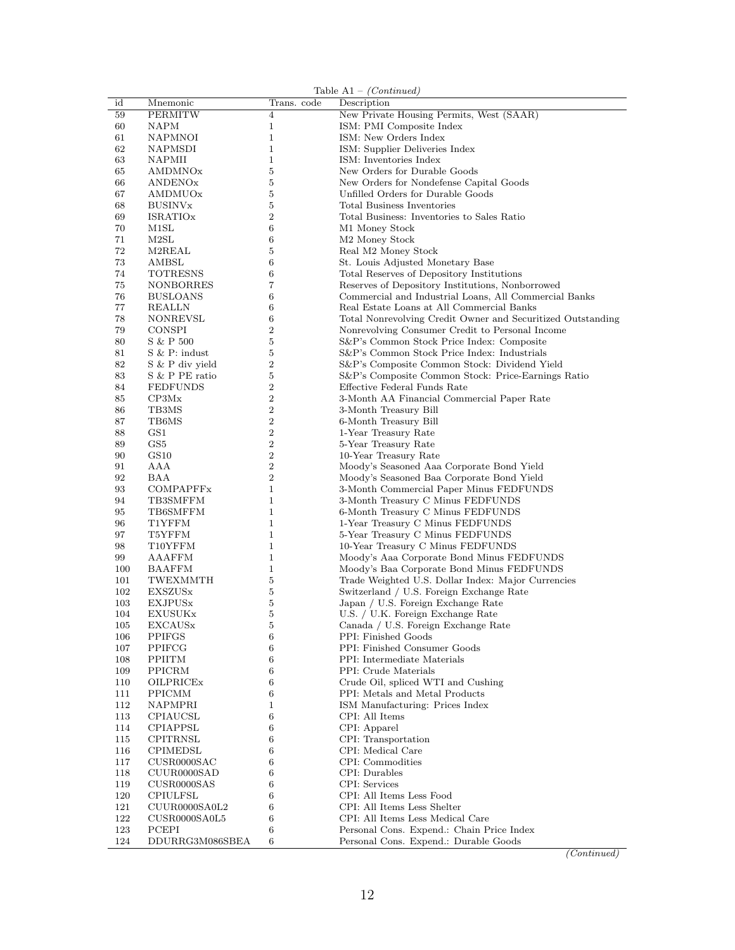|            |                            |                  | Table $A1 - (Continued)$                                    |
|------------|----------------------------|------------------|-------------------------------------------------------------|
| id         | Mnemonic                   | Trans. code      | Description                                                 |
| 59         | <b>PERMITW</b>             | $\overline{4}$   | New Private Housing Permits, West (SAAR)                    |
| 60         | <b>NAPM</b>                | $\mathbf{1}$     | ISM: PMI Composite Index                                    |
| 61         | NAPMNOI                    | $\mathbf{1}$     | ISM: New Orders Index                                       |
| 62         | NAPMSDI                    | $\mathbf{1}$     | ISM: Supplier Deliveries Index                              |
| 63         | NAPMII                     | $\mathbf{1}$     | ISM: Inventories Index                                      |
| 65         | AMDMNOx                    | 5                | New Orders for Durable Goods                                |
| 66         | ANDENOx                    | $\bf 5$          | New Orders for Nondefense Capital Goods                     |
| 67         | AMDMUOx                    | $\bf 5$          | Unfilled Orders for Durable Goods                           |
| 68         | <b>BUSINV</b> <sub>x</sub> | $\overline{5}$   | <b>Total Business Inventories</b>                           |
| 69         | <b>ISRATIOx</b>            | $\overline{2}$   | Total Business: Inventories to Sales Ratio                  |
| 70         | M1SL                       | 6                | M1 Money Stock                                              |
| 71<br>72   | M2SL                       | 6<br>5           | M <sub>2</sub> Money Stock                                  |
| 73         | M2REAL<br>AMBSL            | $\,6$            | Real M2 Money Stock<br>St. Louis Adjusted Monetary Base     |
| 74         | <b>TOTRESNS</b>            | $\,6$            | Total Reserves of Depository Institutions                   |
| 75         | NONBORRES                  | $\overline{7}$   | Reserves of Depository Institutions, Nonborrowed            |
| 76         | <b>BUSLOANS</b>            | 6                | Commercial and Industrial Loans, All Commercial Banks       |
| 77         | REALLN                     | 6                | Real Estate Loans at All Commercial Banks                   |
| 78         | <b>NONREVSL</b>            | 6                | Total Nonrevolving Credit Owner and Securitized Outstanding |
| 79         | <b>CONSPI</b>              | $\overline{2}$   | Nonrevolving Consumer Credit to Personal Income             |
| 80         | S & P 500                  | $\mathbf 5$      | S&P's Common Stock Price Index: Composite                   |
| 81         | $S \& P: \text{indust}$    | $\bf 5$          | S&P's Common Stock Price Index: Industrials                 |
| 82         | S & P div yield            | $\overline{2}$   | S&P's Composite Common Stock: Dividend Yield                |
| 83         | S & P PE ratio             | 5                | S&P's Composite Common Stock: Price-Earnings Ratio          |
| 84         | <b>FEDFUNDS</b>            | $\boldsymbol{2}$ | Effective Federal Funds Rate                                |
| 85         | CP3Mx                      | $\overline{2}$   | 3-Month AA Financial Commercial Paper Rate                  |
| 86         | TB3MS                      | $\,2$            | 3-Month Treasury Bill                                       |
| 87         | TB6MS                      | $\,2$            | 6-Month Treasury Bill                                       |
| 88         | GS1                        | $\overline{2}$   | 1-Year Treasury Rate                                        |
| 89         | GS5                        | $\overline{2}$   | 5-Year Treasury Rate                                        |
| 90         | GS10                       | $\overline{2}$   | 10-Year Treasury Rate                                       |
| 91         | AAA                        | $\overline{2}$   | Moody's Seasoned Aaa Corporate Bond Yield                   |
| 92         | BAA                        | $\overline{2}$   | Moody's Seasoned Baa Corporate Bond Yield                   |
| 93         | COMPAPFFx                  | $\mathbf{1}$     | 3-Month Commercial Paper Minus FEDFUNDS                     |
| 94         | TB3SMFFM                   | $\mathbf{1}$     | 3-Month Treasury C Minus FEDFUNDS                           |
| 95         | TB6SMFFM                   | $\mathbf{1}$     | 6-Month Treasury C Minus FEDFUNDS                           |
| 96         | T1YFFM                     | $\mathbf{1}$     | 1-Year Treasury C Minus FEDFUNDS                            |
| 97         | T5YFFM                     | $\mathbf{1}$     | 5-Year Treasury C Minus FEDFUNDS                            |
| 98         | T10YFFM                    | $\mathbf{1}$     | 10-Year Treasury C Minus FEDFUNDS                           |
| 99         | AAAFFM                     | $\mathbf{1}$     | Moody's Aaa Corporate Bond Minus FEDFUNDS                   |
| 100        | <b>BAAFFM</b>              | $\mathbf 1$      | Moody's Baa Corporate Bond Minus FEDFUNDS                   |
| 101        | TWEXMMTH                   | $\bf 5$          | Trade Weighted U.S. Dollar Index: Major Currencies          |
| 102        | <b>EXSZUS</b> x            | $\overline{5}$   | Switzerland / U.S. Foreign Exchange Rate                    |
| 103        | <b>EXJPUSx</b>             | 5                | Japan / U.S. Foreign Exchange Rate                          |
| 104        | <b>EXUSUKx</b>             | 5                | U.S. / U.K. Foreign Exchange Rate                           |
| 105        | EXCAUSx                    | 5<br>6           | Canada / U.S. Foreign Exchange Rate<br>PPI: Finished Goods  |
| 106        | <b>PPIFGS</b><br>PPIFCG    |                  | PPI: Finished Consumer Goods                                |
| 107<br>108 | <b>PPIITM</b>              | 6<br>6           | PPI: Intermediate Materials                                 |
| 109        | PPICRM                     | 6                | PPI: Crude Materials                                        |
| 110        | OILPRICEX                  | 6                | Crude Oil, spliced WTI and Cushing                          |
| 111        | <b>PPICMM</b>              | 6                | PPI: Metals and Metal Products                              |
| 112        | <b>NAPMPRI</b>             | $\mathbf{1}$     | ISM Manufacturing: Prices Index                             |
| 113        | CPIAUCSL                   | 6                | CPI: All Items                                              |
| 114        | <b>CPIAPPSL</b>            | 6                | CPI: Apparel                                                |
| 115        | <b>CPITRNSL</b>            | 6                | CPI: Transportation                                         |
| 116        | <b>CPIMEDSL</b>            | 6                | CPI: Medical Care                                           |
| 117        | CUSR0000SAC                | 6                | CPI: Commodities                                            |
| 118        | CUUR0000SAD                | 6                | CPI: Durables                                               |
| 119        | CUSR0000SAS                | 6                | CPI: Services                                               |
| 120        | <b>CPIULFSL</b>            | 6                | CPI: All Items Less Food                                    |
| 121        | CUUR0000SA0L2              | 6                | CPI: All Items Less Shelter                                 |
| 122        | CUSR0000SA0L5              | 6                | CPI: All Items Less Medical Care                            |
| 123        | PCEPI                      | 6                | Personal Cons. Expend.: Chain Price Index                   |
| 124        | DDURRG3M086SBEA            | 6                | Personal Cons. Expend.: Durable Goods                       |

(Continued)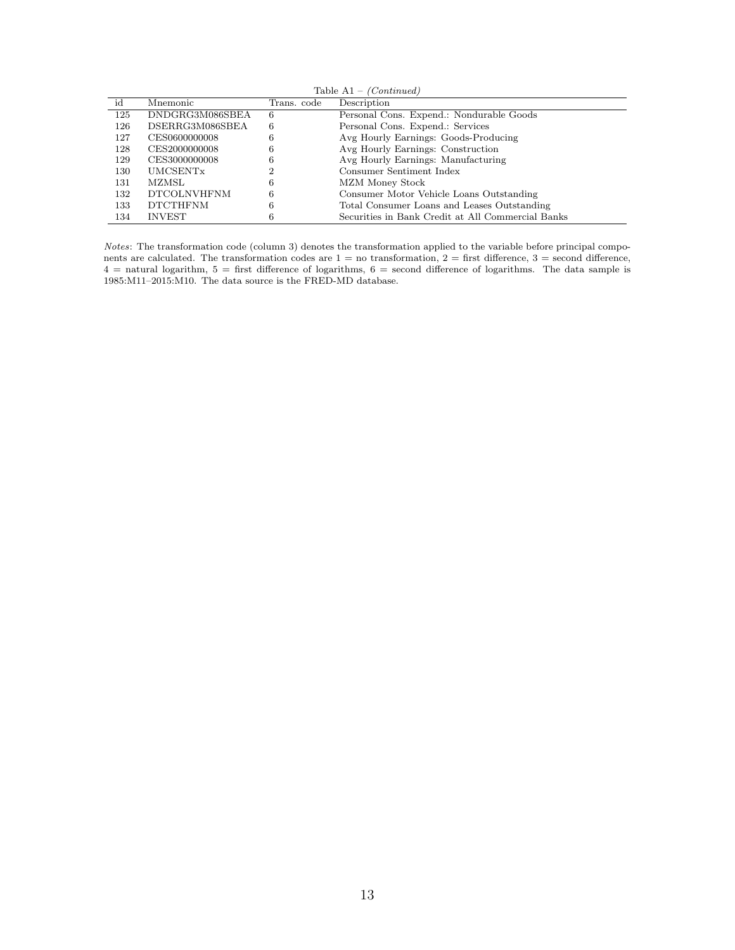|     | Table $A1 - (Continued)$ |             |                                                   |  |  |  |  |
|-----|--------------------------|-------------|---------------------------------------------------|--|--|--|--|
| id  | Mnemonic                 | Trans. code | Description                                       |  |  |  |  |
| 125 | DNDGRG3M086SBEA          | 6           | Personal Cons. Expend.: Nondurable Goods          |  |  |  |  |
| 126 | DSERRG3M086SBEA          | 6           | Personal Cons. Expend.: Services                  |  |  |  |  |
| 127 | CES0600000008            | 6           | Avg Hourly Earnings: Goods-Producing              |  |  |  |  |
| 128 | CES2000000008            | 6           | Avg Hourly Earnings: Construction                 |  |  |  |  |
| 129 | CES3000000008            | 6           | Avg Hourly Earnings: Manufacturing                |  |  |  |  |
| 130 | UMCSENTx                 |             | Consumer Sentiment Index                          |  |  |  |  |
| 131 | MZMSL                    | 6           | MZM Money Stock                                   |  |  |  |  |
| 132 | <b>DTCOLNVHFNM</b>       | 6           | Consumer Motor Vehicle Loans Outstanding          |  |  |  |  |
| 133 | <b>DTCTHFNM</b>          | 6           | Total Consumer Loans and Leases Outstanding       |  |  |  |  |
| 134 | <b>INVEST</b>            |             | Securities in Bank Credit at All Commercial Banks |  |  |  |  |

Notes: The transformation code (column 3) denotes the transformation applied to the variable before principal components are calculated. The transformation codes are  $1 =$  no transformation,  $2 =$  first difference,  $3 =$  second difference,  $4 =$  natural logarithm,  $5 =$  first difference of logarithms,  $6 =$  second difference of logarithms. The data sample is 1985:M11–2015:M10. The data source is the FRED-MD database.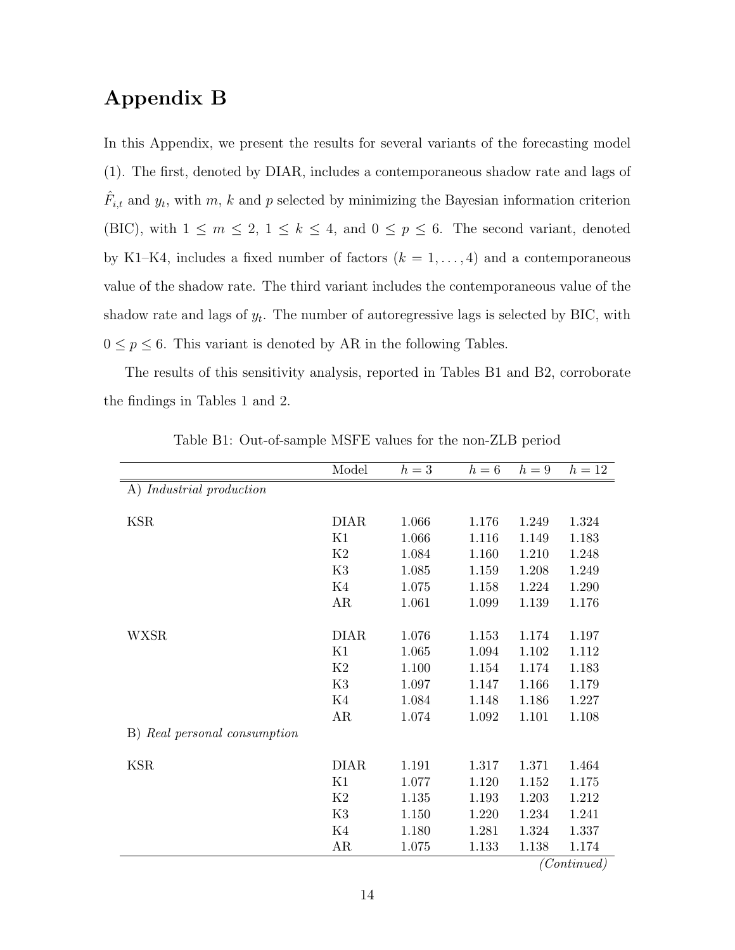#### Appendix B

In this Appendix, we present the results for several variants of the forecasting model (1). The first, denoted by DIAR, includes a contemporaneous shadow rate and lags of  $\hat{F}_{i,t}$  and  $y_t$ , with  $m, k$  and  $p$  selected by minimizing the Bayesian information criterion (BIC), with  $1 \leq m \leq 2$ ,  $1 \leq k \leq 4$ , and  $0 \leq p \leq 6$ . The second variant, denoted by K1–K4, includes a fixed number of factors  $(k = 1, ..., 4)$  and a contemporaneous value of the shadow rate. The third variant includes the contemporaneous value of the shadow rate and lags of  $y_t$ . The number of autoregressive lags is selected by BIC, with  $0 \leq p \leq 6.$  This variant is denoted by AR in the following Tables.

The results of this sensitivity analysis, reported in Tables B1 and B2, corroborate the findings in Tables 1 and 2.

|                                        | Model       | $h=3$ | $h=6$ | $h=9$ | $h=12$      |
|----------------------------------------|-------------|-------|-------|-------|-------------|
| $\overline{A}$ ) Industrial production |             |       |       |       |             |
|                                        |             |       |       |       |             |
| <b>KSR</b>                             | <b>DIAR</b> | 1.066 | 1.176 | 1.249 | 1.324       |
|                                        | K1          | 1.066 | 1.116 | 1.149 | 1.183       |
|                                        | K2          | 1.084 | 1.160 | 1.210 | 1.248       |
|                                        | K3          | 1.085 | 1.159 | 1.208 | 1.249       |
|                                        | K4          | 1.075 | 1.158 | 1.224 | 1.290       |
|                                        | AR          | 1.061 | 1.099 | 1.139 | 1.176       |
|                                        |             |       |       |       |             |
| <b>WXSR</b>                            | <b>DIAR</b> | 1.076 | 1.153 | 1.174 | 1.197       |
|                                        | K1          | 1.065 | 1.094 | 1.102 | 1.112       |
|                                        | K2          | 1.100 | 1.154 | 1.174 | 1.183       |
|                                        | K3          | 1.097 | 1.147 | 1.166 | 1.179       |
|                                        | K4          | 1.084 | 1.148 | 1.186 | 1.227       |
|                                        | AR          | 1.074 | 1.092 | 1.101 | 1.108       |
| B) Real personal consumption           |             |       |       |       |             |
|                                        |             |       |       |       |             |
| <b>KSR</b>                             | <b>DIAR</b> | 1.191 | 1.317 | 1.371 | 1.464       |
|                                        | K1          | 1.077 | 1.120 | 1.152 | 1.175       |
|                                        | K2          | 1.135 | 1.193 | 1.203 | 1.212       |
|                                        | K3          | 1.150 | 1.220 | 1.234 | 1.241       |
|                                        | K4          | 1.180 | 1.281 | 1.324 | 1.337       |
|                                        | AR          | 1.075 | 1.133 | 1.138 | 1.174       |
|                                        |             |       |       |       | (Continued) |

Table B1: Out-of-sample MSFE values for the non-ZLB period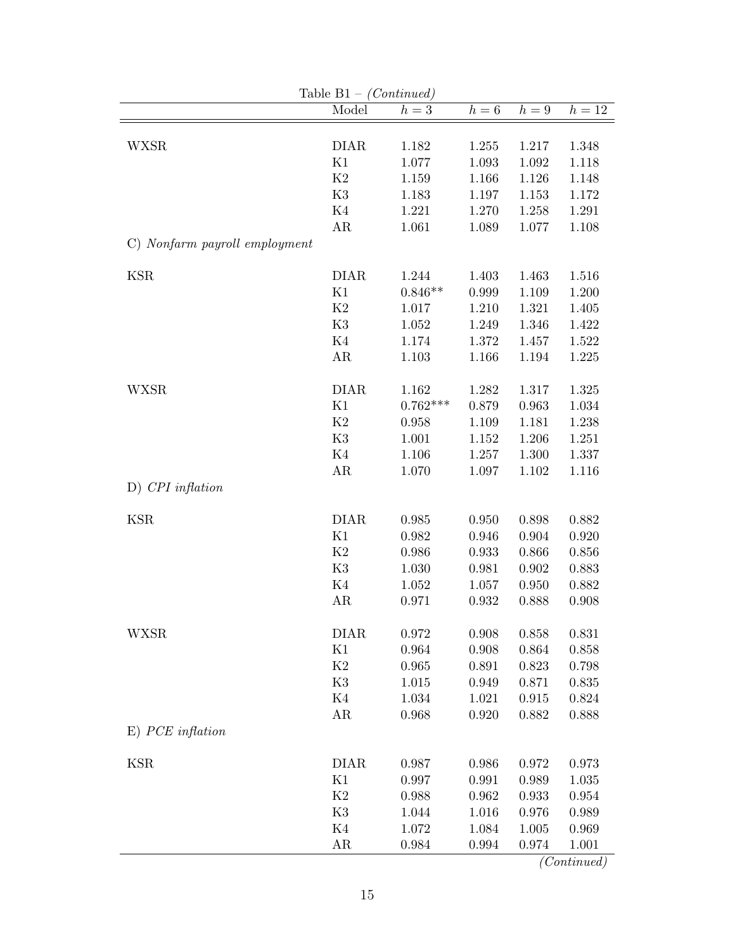|                               | Table $B1 - (Continued)$ |            |                  |           |                   |
|-------------------------------|--------------------------|------------|------------------|-----------|-------------------|
|                               | Model                    | $h=3$      | $h=\overline{6}$ | $h=9$     | $h=\overline{12}$ |
|                               |                          |            |                  |           |                   |
| <b>WXSR</b>                   | <b>DIAR</b>              | 1.182      | 1.255            | 1.217     | 1.348             |
|                               | K1                       | 1.077      | 1.093            | 1.092     | 1.118             |
|                               | K2                       | 1.159      | 1.166            | $1.126\,$ | 1.148             |
|                               | K3                       | 1.183      | 1.197            | 1.153     | 1.172             |
|                               | K4                       | 1.221      | 1.270            | 1.258     | 1.291             |
|                               | AR                       | 1.061      | 1.089            | 1.077     | 1.108             |
| C) Nonfarm payroll employment |                          |            |                  |           |                   |
| <b>KSR</b>                    | <b>DIAR</b>              | 1.244      | 1.403            | 1.463     | 1.516             |
|                               | K1                       | $0.846**$  | 0.999            | 1.109     | 1.200             |
|                               | $\rm K2$                 | 1.017      | 1.210            | 1.321     | 1.405             |
|                               | K3                       | 1.052      | 1.249            | 1.346     | 1.422             |
|                               | K4                       | 1.174      | 1.372            | 1.457     | 1.522             |
|                               | AR                       | 1.103      | 1.166            | 1.194     | 1.225             |
|                               |                          |            |                  |           |                   |
| <b>WXSR</b>                   | <b>DIAR</b>              | 1.162      | 1.282            | 1.317     | 1.325             |
|                               | K1                       | $0.762***$ | 0.879            | 0.963     | 1.034             |
|                               | K2                       | 0.958      | 1.109            | 1.181     | 1.238             |
|                               | K3                       | 1.001      | 1.152            | 1.206     | 1.251             |
|                               | K4                       | 1.106      | 1.257            | 1.300     | 1.337             |
|                               | AR                       | 1.070      | 1.097            | 1.102     | 1.116             |
| $D)$ CPI inflation            |                          |            |                  |           |                   |
| <b>KSR</b>                    | <b>DIAR</b>              | 0.985      | $0.950\,$        | 0.898     | 0.882             |
|                               | K1                       | 0.982      | 0.946            | 0.904     | 0.920             |
|                               | K <sub>2</sub>           | 0.986      | 0.933            | 0.866     | 0.856             |
|                               | K3                       | 1.030      | 0.981            | 0.902     | 0.883             |
|                               | K4                       | 1.052      | 1.057            | 0.950     | 0.882             |
|                               | AR                       | 0.971      | 0.932            | 0.888     | 0.908             |
|                               |                          |            |                  |           |                   |
| <b>WXSR</b>                   | <b>DIAR</b>              | 0.972      | 0.908            | 0.858     | 0.831             |
|                               | K1                       | 0.964      | 0.908            | 0.864     | 0.858             |
|                               | K2                       | 0.965      | 0.891            | 0.823     | 0.798             |
|                               | K3                       | 1.015      | 0.949            | 0.871     | 0.835             |
|                               | K4                       | 1.034      | 1.021            | 0.915     | 0.824             |
|                               | AR                       | 0.968      | 0.920            | 0.882     | 0.888             |
| $E)$ PCE inflation            |                          |            |                  |           |                   |
| <b>KSR</b>                    | <b>DIAR</b>              | 0.987      | 0.986            | 0.972     | 0.973             |
|                               | K1                       | 0.997      | 0.991            | 0.989     | 1.035             |
|                               | K2                       | 0.988      | 0.962            | 0.933     | 0.954             |
|                               | K3                       | 1.044      | 1.016            | 0.976     | 0.989             |
|                               | K4                       | 1.072      | 1.084            | 1.005     | 0.969             |
|                               | AR                       | 0.984      | 0.994            | 0.974     | 1.001             |
|                               |                          |            |                  |           |                   |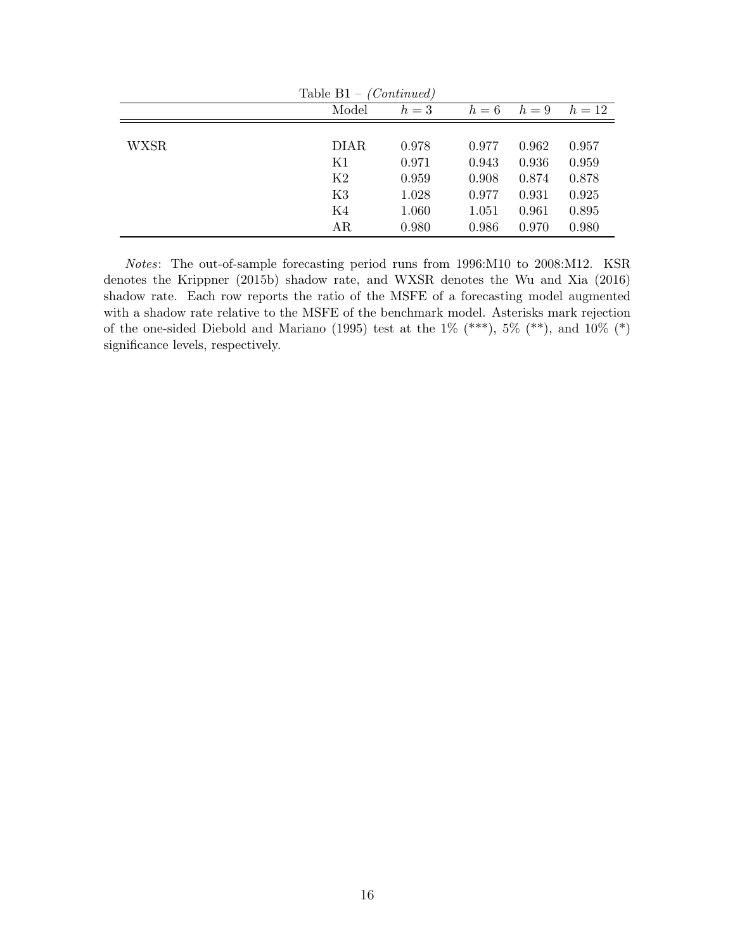| Table $B1 - (Continued)$ |             |       |       |       |        |  |  |  |
|--------------------------|-------------|-------|-------|-------|--------|--|--|--|
|                          | Model       | $h=3$ | $h=6$ | $h=9$ | $h=12$ |  |  |  |
|                          |             |       |       |       |        |  |  |  |
| <b>WXSR</b>              | <b>DIAR</b> | 0.978 | 0.977 | 0.962 | 0.957  |  |  |  |
|                          | K1          | 0.971 | 0.943 | 0.936 | 0.959  |  |  |  |
|                          | K2          | 0.959 | 0.908 | 0.874 | 0.878  |  |  |  |
|                          | K3          | 1.028 | 0.977 | 0.931 | 0.925  |  |  |  |
|                          | K4          | 1.060 | 1.051 | 0.961 | 0.895  |  |  |  |
|                          | AR          | 0.980 | 0.986 | 0.970 | 0.980  |  |  |  |

Notes: The out-of-sample forecasting period runs from 1996:M10 to 2008:M12. KSR denotes the Krippner (2015b) shadow rate, and WXSR denotes the Wu and Xia (2016) shadow rate. Each row reports the ratio of the MSFE of a forecasting model augmented with a shadow rate relative to the MSFE of the benchmark model. Asterisks mark rejection of the one-sided Diebold and Mariano (1995) test at the 1% (\*\*\*), 5% (\*\*), and 10% (\*) significance levels, respectively.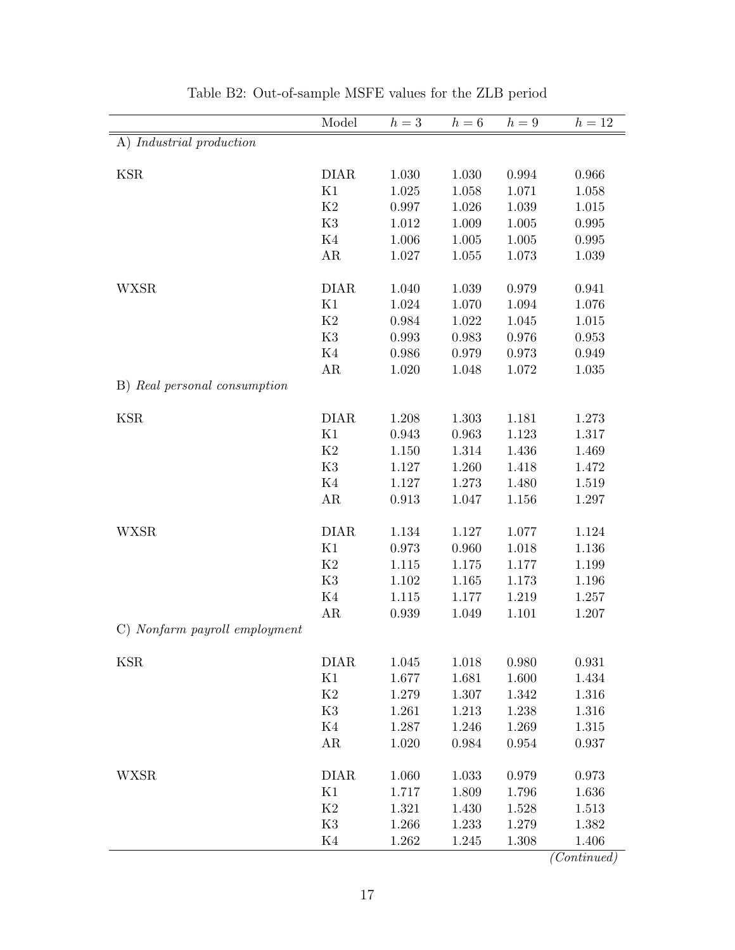|                               | Model       | $h=3$ | $h=6$ | $h=9$ | $h=12$ |
|-------------------------------|-------------|-------|-------|-------|--------|
| A) Industrial production      |             |       |       |       |        |
| <b>KSR</b>                    | <b>DIAR</b> | 1.030 | 1.030 | 0.994 | 0.966  |
|                               | K1          | 1.025 | 1.058 | 1.071 | 1.058  |
|                               | K2          | 0.997 | 1.026 | 1.039 | 1.015  |
|                               | K3          | 1.012 | 1.009 | 1.005 | 0.995  |
|                               | K4          | 1.006 | 1.005 | 1.005 | 0.995  |
|                               | AR          | 1.027 | 1.055 | 1.073 | 1.039  |
| <b>WXSR</b>                   | <b>DIAR</b> | 1.040 | 1.039 | 0.979 | 0.941  |
|                               | K1          | 1.024 | 1.070 | 1.094 | 1.076  |
|                               | K2          | 0.984 | 1.022 | 1.045 | 1.015  |
|                               | K3          | 0.993 | 0.983 | 0.976 | 0.953  |
|                               | K4          | 0.986 | 0.979 | 0.973 | 0.949  |
|                               | AR          | 1.020 | 1.048 | 1.072 | 1.035  |
| B) Real personal consumption  |             |       |       |       |        |
| <b>KSR</b>                    | <b>DIAR</b> | 1.208 | 1.303 | 1.181 | 1.273  |
|                               | K1          | 0.943 | 0.963 | 1.123 | 1.317  |
|                               | K2          | 1.150 | 1.314 | 1.436 | 1.469  |
|                               | K3          | 1.127 | 1.260 | 1.418 | 1.472  |
|                               | K4          | 1.127 | 1.273 | 1.480 | 1.519  |
|                               | AR          | 0.913 | 1.047 | 1.156 | 1.297  |
| <b>WXSR</b>                   | <b>DIAR</b> | 1.134 | 1.127 | 1.077 | 1.124  |
|                               | K1          | 0.973 | 0.960 | 1.018 | 1.136  |
|                               | K2          | 1.115 | 1.175 | 1.177 | 1.199  |
|                               | K3          | 1.102 | 1.165 | 1.173 | 1.196  |
|                               | K4          | 1.115 | 1.177 | 1.219 | 1.257  |
|                               | AR          | 0.939 | 1.049 | 1.101 | 1.207  |
| C) Nonfarm payroll employment |             |       |       |       |        |
| <b>KSR</b>                    | <b>DIAR</b> | 1.045 | 1.018 | 0.980 | 0.931  |
|                               | K1          | 1.677 | 1.681 | 1.600 | 1.434  |
|                               | $\rm K2$    | 1.279 | 1.307 | 1.342 | 1.316  |
|                               | K3          | 1.261 | 1.213 | 1.238 | 1.316  |
|                               | K4          | 1.287 | 1.246 | 1.269 | 1.315  |
|                               | AR          | 1.020 | 0.984 | 0.954 | 0.937  |
| <b>WXSR</b>                   | <b>DIAR</b> | 1.060 | 1.033 | 0.979 | 0.973  |
|                               | K1          | 1.717 | 1.809 | 1.796 | 1.636  |
|                               | K2          | 1.321 | 1.430 | 1.528 | 1.513  |
|                               | K3          | 1.266 | 1.233 | 1.279 | 1.382  |
|                               | K4          | 1.262 | 1.245 | 1.308 | 1.406  |

 $\frac{1.100}{(Continued)}$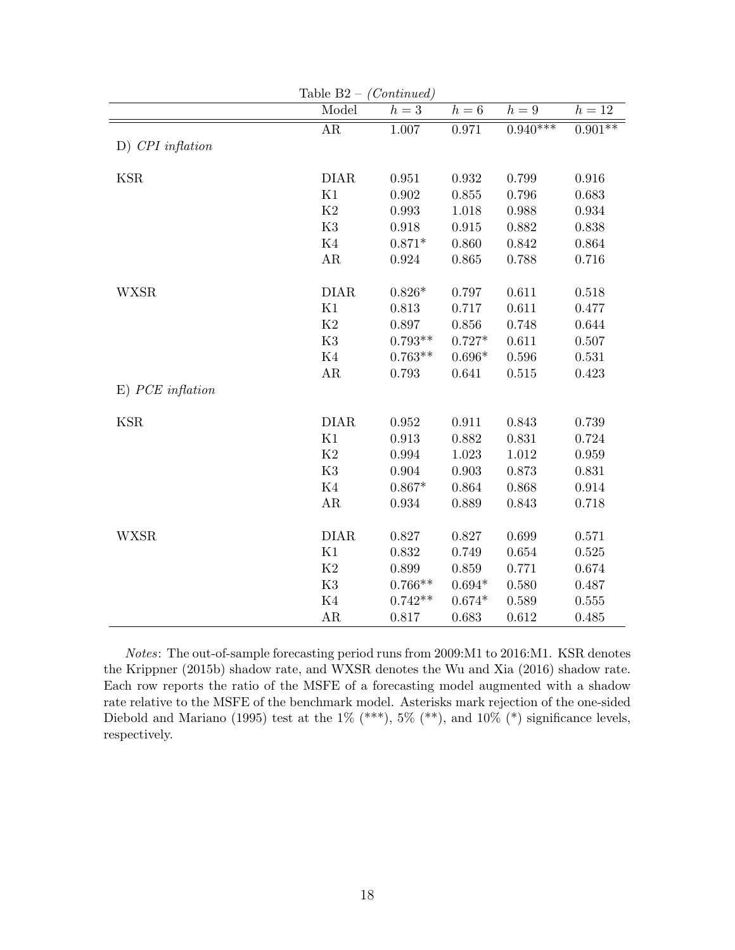| Table $B2 - (Continued)$  |                 |           |          |            |           |  |  |
|---------------------------|-----------------|-----------|----------|------------|-----------|--|--|
|                           | Model           | $h=3$     | $h=6$    | $h=9$      | $h=12$    |  |  |
|                           | $\overline{AR}$ | 1.007     | 0.971    | $0.940***$ | $0.901**$ |  |  |
| $D)$ CPI inflation        |                 |           |          |            |           |  |  |
|                           |                 |           |          |            |           |  |  |
| <b>KSR</b>                | <b>DIAR</b>     | 0.951     | 0.932    | 0.799      | 0.916     |  |  |
|                           | K1              | 0.902     | 0.855    | 0.796      | 0.683     |  |  |
|                           | K2              | 0.993     | 1.018    | 0.988      | 0.934     |  |  |
|                           | K <sub>3</sub>  | 0.918     | 0.915    | 0.882      | 0.838     |  |  |
|                           | $\rm K4$        | $0.871*$  | 0.860    | 0.842      | 0.864     |  |  |
|                           | $\rm{AR}$       | 0.924     | 0.865    | 0.788      | 0.716     |  |  |
| WXSR                      | <b>DIAR</b>     | $0.826*$  | 0.797    | 0.611      | 0.518     |  |  |
|                           | K1              | 0.813     | 0.717    | 0.611      | 0.477     |  |  |
|                           | K2              | 0.897     | 0.856    | 0.748      | 0.644     |  |  |
|                           | K3              | $0.793**$ | $0.727*$ | 0.611      | 0.507     |  |  |
|                           | $\rm K4$        | $0.763**$ | $0.696*$ | 0.596      | 0.531     |  |  |
|                           | $\rm{AR}$       | 0.793     | 0.641    | 0.515      | 0.423     |  |  |
| $E)$ <i>PCE</i> inflation |                 |           |          |            |           |  |  |
|                           |                 |           |          |            |           |  |  |
| <b>KSR</b>                | <b>DIAR</b>     | 0.952     | 0.911    | 0.843      | 0.739     |  |  |
|                           | K1              | 0.913     | 0.882    | 0.831      | 0.724     |  |  |
|                           | K2              | 0.994     | 1.023    | 1.012      | 0.959     |  |  |
|                           | K3              | 0.904     | 0.903    | 0.873      | 0.831     |  |  |
|                           | $\rm K4$        | $0.867*$  | 0.864    | 0.868      | 0.914     |  |  |
|                           | AR              | 0.934     | 0.889    | 0.843      | 0.718     |  |  |
|                           |                 |           |          |            |           |  |  |
| <b>WXSR</b>               | <b>DIAR</b>     | 0.827     | 0.827    | 0.699      | 0.571     |  |  |
|                           | K1              | 0.832     | 0.749    | 0.654      | 0.525     |  |  |
|                           | $\rm K2$        | 0.899     | 0.859    | 0.771      | 0.674     |  |  |
|                           | K3              | $0.766**$ | $0.694*$ | 0.580      | 0.487     |  |  |
|                           | K4              | $0.742**$ | $0.674*$ | 0.589      | 0.555     |  |  |
|                           | AR              | 0.817     | 0.683    | 0.612      | 0.485     |  |  |

Notes: The out-of-sample forecasting period runs from 2009:M1 to 2016:M1. KSR denotes the Krippner (2015b) shadow rate, and WXSR denotes the Wu and Xia (2016) shadow rate. Each row reports the ratio of the MSFE of a forecasting model augmented with a shadow rate relative to the MSFE of the benchmark model. Asterisks mark rejection of the one-sided Diebold and Mariano (1995) test at the  $1\%$  (\*\*\*),  $5\%$  (\*\*), and  $10\%$  (\*) significance levels, respectively.